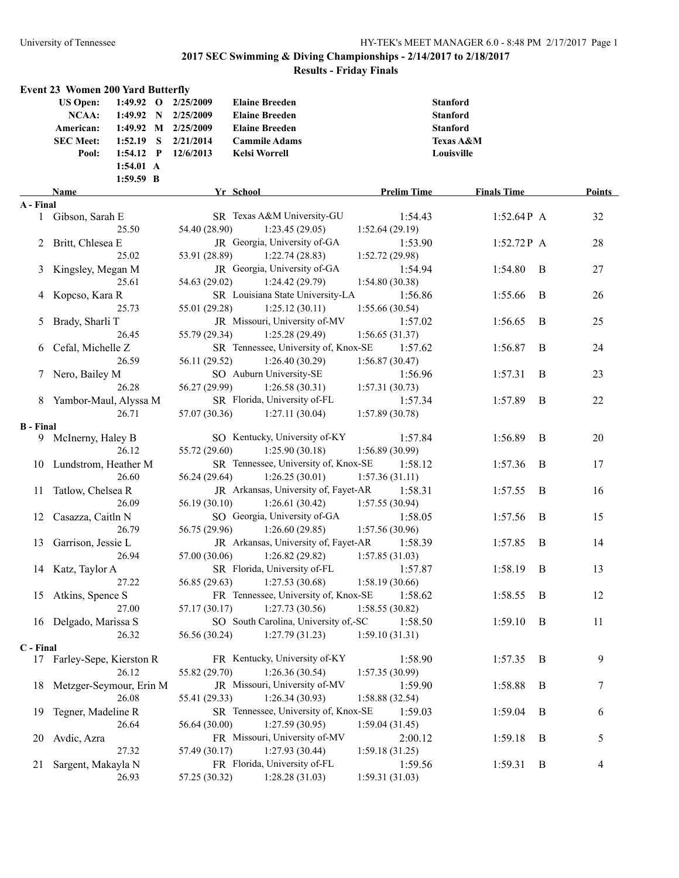|                  | <b>Event 23 Women 200 Yard Butterfly</b> |             |                       |                                      |                    |                    |   |        |
|------------------|------------------------------------------|-------------|-----------------------|--------------------------------------|--------------------|--------------------|---|--------|
|                  | <b>US Open:</b>                          |             | 1:49.92 O 2/25/2009   | <b>Elaine Breeden</b>                |                    | <b>Stanford</b>    |   |        |
|                  | <b>NCAA:</b>                             |             | 1:49.92 N $2/25/2009$ | <b>Elaine Breeden</b>                |                    | <b>Stanford</b>    |   |        |
|                  | American:                                |             | 1:49.92 M 2/25/2009   | <b>Elaine Breeden</b>                |                    | <b>Stanford</b>    |   |        |
|                  | <b>SEC Meet:</b>                         | $1:52.19$ S | 2/21/2014             | <b>Cammile Adams</b>                 |                    | Texas A&M          |   |        |
|                  | Pool:                                    | $1:54.12$ P | 12/6/2013             | <b>Kelsi Worrell</b>                 |                    | Louisville         |   |        |
|                  |                                          | 1:54.01 A   |                       |                                      |                    |                    |   |        |
|                  |                                          | 1:59.59 B   |                       |                                      |                    |                    |   |        |
| A - Final        | Name                                     |             |                       | Yr School                            | <b>Prelim Time</b> | <b>Finals Time</b> |   | Points |
|                  | 1 Gibson, Sarah E                        |             |                       | SR Texas A&M University-GU           | 1:54.43            | $1:52.64P$ A       |   | 32     |
|                  |                                          | 25.50       | 54.40 (28.90)         | 1:23.45(29.05)                       | 1:52.64(29.19)     |                    |   |        |
|                  | 2 Britt, Chlesea E                       |             |                       | JR Georgia, University of-GA         | 1:53.90            | $1:52.72P$ A       |   | 28     |
|                  |                                          | 25.02       | 53.91 (28.89)         | 1:22.74(28.83)                       | 1:52.72(29.98)     |                    |   |        |
|                  | 3 Kingsley, Megan M                      |             |                       | JR Georgia, University of-GA         | 1:54.94            | 1:54.80            | B | 27     |
|                  |                                          | 25.61       | 54.63 (29.02)         | 1:24.42(29.79)                       | 1:54.80(30.38)     |                    |   |        |
|                  | 4 Kopcso, Kara R                         |             |                       | SR Louisiana State University-LA     | 1:56.86            | 1:55.66            | B | 26     |
|                  |                                          | 25.73       | 55.01 (29.28)         | 1:25.12(30.11)                       | 1:55.66(30.54)     |                    |   |        |
|                  | 5 Brady, Sharli T                        |             |                       | JR Missouri, University of-MV        | 1:57.02            | 1:56.65            | B | 25     |
|                  |                                          | 26.45       | 55.79 (29.34)         | 1:25.28(29.49)                       | 1:56.65(31.37)     |                    |   |        |
|                  | 6 Cefal, Michelle Z                      |             |                       | SR Tennessee, University of, Knox-SE | 1:57.62            | 1:56.87            | B | 24     |
|                  |                                          | 26.59       | 56.11 (29.52)         | 1:26.40(30.29)                       | 1:56.87(30.47)     |                    |   |        |
|                  | 7 Nero, Bailey M                         |             |                       | SO Auburn University-SE              | 1:56.96            | 1:57.31            | B | 23     |
|                  |                                          | 26.28       | 56.27 (29.99)         | 1:26.58(30.31)                       | 1:57.31(30.73)     |                    |   |        |
|                  | 8 Yambor-Maul, Alyssa M                  |             |                       | SR Florida, University of-FL         | 1:57.34            | 1:57.89            | B | 22     |
|                  |                                          | 26.71       | 57.07 (30.36)         | 1:27.11(30.04)                       | 1:57.89(30.78)     |                    |   |        |
| <b>B</b> - Final |                                          |             |                       |                                      |                    |                    |   |        |
|                  | 9 McInerny, Haley B                      |             |                       | SO Kentucky, University of-KY        | 1:57.84            | 1:56.89            | B | 20     |
|                  |                                          | 26.12       | 55.72 (29.60)         | 1:25.90(30.18)                       | 1:56.89(30.99)     |                    |   |        |
|                  | 10 Lundstrom, Heather M                  |             |                       | SR Tennessee, University of, Knox-SE | 1:58.12            | 1:57.36            | B | 17     |
|                  |                                          | 26.60       | 56.24 (29.64)         | 1:26.25(30.01)                       | 1:57.36(31.11)     |                    |   |        |
| 11               | Tatlow, Chelsea R                        |             |                       | JR Arkansas, University of, Fayet-AR | 1:58.31            | 1:57.55            | B | 16     |
|                  |                                          | 26.09       | 56.19 (30.10)         | 1:26.61(30.42)                       | 1:57.55(30.94)     |                    |   |        |
| 12               | Casazza, Caitln N                        |             |                       | SO Georgia, University of-GA         | 1:58.05            | 1:57.56            | B | 15     |
|                  |                                          | 26.79       | 56.75 (29.96)         | 1:26.60(29.85)                       | 1:57.56 (30.96)    |                    |   |        |
| 13               | Garrison, Jessie L                       |             |                       | JR Arkansas, University of, Fayet-AR | 1:58.39            | 1:57.85            | B | 14     |
|                  |                                          | 26.94       | 57.00 (30.06)         | 1:26.82(29.82)                       | 1:57.85(31.03)     |                    |   |        |
|                  | 14 Katz, Taylor A                        |             |                       | SR Florida, University of-FL         | 1:57.87            | 1:58.19            | B | 13     |
|                  |                                          | 27.22       |                       | 56.85 (29.63) 1:27.53 (30.68)        | 1:58.19(30.66)     |                    |   |        |
|                  | 15 Atkins, Spence S                      |             |                       | FR Tennessee, University of, Knox-SE | 1:58.62            | 1:58.55            | B | 12     |
|                  |                                          | 27.00       | 57.17 (30.17)         | 1:27.73(30.56)                       | 1:58.55(30.82)     |                    |   |        |
|                  | 16 Delgado, Marissa S                    |             |                       | SO South Carolina, University of,-SC | 1:58.50            | 1:59.10            | B | 11     |
|                  |                                          | 26.32       | 56.56 (30.24)         | 1:27.79(31.23)                       | 1:59.10(31.31)     |                    |   |        |
| C - Final        |                                          |             |                       |                                      |                    |                    |   |        |
|                  | 17 Farley-Sepe, Kierston R               |             |                       | FR Kentucky, University of-KY        | 1:58.90            | 1:57.35            | B | 9      |
|                  |                                          | 26.12       | 55.82 (29.70)         | 1:26.36(30.54)                       | 1:57.35(30.99)     |                    |   |        |
|                  | 18 Metzger-Seymour, Erin M               |             |                       | JR Missouri, University of-MV        | 1:59.90            | 1:58.88            | B | $\tau$ |
|                  |                                          | 26.08       | 55.41 (29.33)         | 1:26.34(30.93)                       | 1:58.88(32.54)     |                    |   |        |
| 19               | Tegner, Madeline R                       |             |                       | SR Tennessee, University of, Knox-SE | 1:59.03            | 1:59.04            | B | 6      |
|                  |                                          | 26.64       | 56.64 (30.00)         | 1:27.59(30.95)                       | 1:59.04(31.45)     |                    |   |        |
| 20               | Avdic, Azra                              |             |                       | FR Missouri, University of-MV        | 2:00.12            | 1:59.18            | B | 5      |
|                  |                                          | 27.32       | 57.49 (30.17)         | 1:27.93(30.44)                       | 1:59.18(31.25)     |                    |   |        |
| 21               | Sargent, Makayla N                       |             |                       | FR Florida, University of-FL         | 1:59.56            | 1:59.31            | B | 4      |
|                  |                                          | 26.93       | 57.25 (30.32)         | 1:28.28(31.03)                       | 1:59.31(31.03)     |                    |   |        |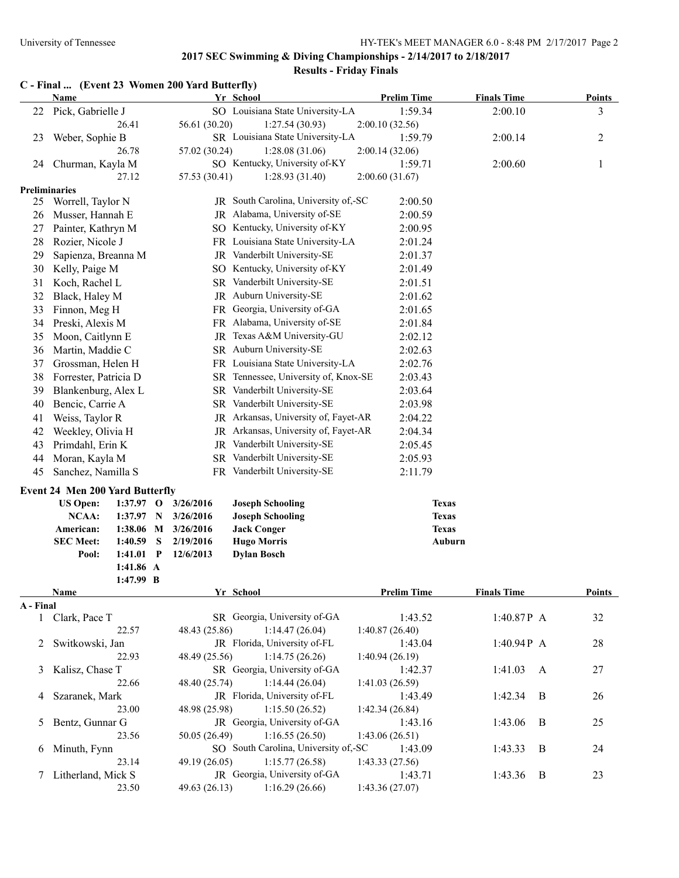| C - Final  (Event 23 Women 200 Yard Butterfly) |  |  |
|------------------------------------------------|--|--|
|                                                |  |  |

|                      | <b>Name</b>                            |                        |                  |                        | Yr School                                          | <b>Prelim Time</b> | <b>Finals Time</b>           |   | <b>Points</b> |
|----------------------|----------------------------------------|------------------------|------------------|------------------------|----------------------------------------------------|--------------------|------------------------------|---|---------------|
|                      | 22 Pick, Gabrielle J                   |                        |                  |                        | SO Louisiana State University-LA                   | 1:59.34            | 2:00.10                      |   | 3             |
|                      |                                        | 26.41                  |                  | 56.61 (30.20)          | 1:27.54(30.93)                                     | 2:00.10(32.56)     |                              |   |               |
| 23                   | Weber, Sophie B                        |                        |                  |                        | SR Louisiana State University-LA                   | 1:59.79            | 2:00.14                      |   | 2             |
|                      |                                        | 26.78                  |                  | 57.02 (30.24)          | 1:28.08(31.06)                                     | 2:00.14(32.06)     |                              |   |               |
|                      | 24 Churman, Kayla M                    |                        |                  |                        | SO Kentucky, University of-KY                      | 1:59.71            | 2:00.60                      |   | $\mathbf{1}$  |
|                      |                                        | 27.12                  |                  | 57.53 (30.41)          | 1:28.93(31.40)                                     | 2:00.60(31.67)     |                              |   |               |
| <b>Preliminaries</b> |                                        |                        |                  |                        |                                                    |                    |                              |   |               |
| 25                   | Worrell, Taylor N                      |                        |                  |                        | JR South Carolina, University of,-SC               | 2:00.50            |                              |   |               |
| 26                   | Musser, Hannah E                       |                        |                  |                        | JR Alabama, University of-SE                       | 2:00.59            |                              |   |               |
| 27                   | Painter, Kathryn M                     |                        |                  |                        | SO Kentucky, University of-KY                      | 2:00.95            |                              |   |               |
| 28                   | Rozier, Nicole J                       |                        |                  |                        | FR Louisiana State University-LA                   | 2:01.24            |                              |   |               |
| 29                   | Sapienza, Breanna M                    |                        |                  |                        | JR Vanderbilt University-SE                        | 2:01.37            |                              |   |               |
| 30                   | Kelly, Paige M                         |                        |                  |                        | SO Kentucky, University of-KY                      | 2:01.49            |                              |   |               |
| 31                   | Koch, Rachel L                         |                        |                  |                        | SR Vanderbilt University-SE                        | 2:01.51            |                              |   |               |
| 32                   | Black, Haley M                         |                        |                  |                        | JR Auburn University-SE                            | 2:01.62            |                              |   |               |
| 33                   | Finnon, Meg H                          |                        |                  |                        | FR Georgia, University of-GA                       | 2:01.65            |                              |   |               |
| 34                   | Preski, Alexis M                       |                        |                  |                        | FR Alabama, University of-SE                       | 2:01.84            |                              |   |               |
| 35                   | Moon, Caitlynn E                       |                        |                  |                        | JR Texas A&M University-GU                         | 2:02.12            |                              |   |               |
| 36                   | Martin, Maddie C                       |                        |                  |                        | SR Auburn University-SE                            | 2:02.63            |                              |   |               |
| 37                   | Grossman, Helen H                      |                        |                  |                        | FR Louisiana State University-LA                   | 2:02.76            |                              |   |               |
| 38                   | Forrester, Patricia D                  |                        |                  |                        | SR Tennessee, University of, Knox-SE               | 2:03.43            |                              |   |               |
| 39                   | Blankenburg, Alex L                    |                        |                  |                        | SR Vanderbilt University-SE                        | 2:03.64            |                              |   |               |
| 40                   | Bencic, Carrie A                       |                        |                  |                        | SR Vanderbilt University-SE                        | 2:03.98            |                              |   |               |
| 41                   | Weiss, Taylor R                        |                        |                  |                        | JR Arkansas, University of, Fayet-AR               | 2:04.22            |                              |   |               |
| 42                   | Weekley, Olivia H                      |                        |                  |                        | JR Arkansas, University of, Fayet-AR               | 2:04.34            |                              |   |               |
| 43                   | Primdahl, Erin K                       |                        |                  |                        | JR Vanderbilt University-SE                        | 2:05.45            |                              |   |               |
| 44                   | Moran, Kayla M                         |                        |                  |                        | SR Vanderbilt University-SE                        | 2:05.93            |                              |   |               |
| 45                   | Sanchez, Namilla S                     |                        |                  |                        | FR Vanderbilt University-SE                        | 2:11.79            |                              |   |               |
|                      |                                        |                        |                  |                        |                                                    |                    |                              |   |               |
|                      | <b>Event 24 Men 200 Yard Butterfly</b> |                        |                  |                        |                                                    |                    |                              |   |               |
|                      | <b>US Open:</b><br>NCAA:               | $1:37.97$ O<br>1:37.97 |                  | 3/26/2016              | <b>Joseph Schooling</b><br><b>Joseph Schooling</b> |                    | <b>Texas</b><br><b>Texas</b> |   |               |
|                      |                                        | 1:38.06                | $\mathbf N$<br>M | 3/26/2016              |                                                    |                    | <b>Texas</b>                 |   |               |
|                      | American:<br><b>SEC Meet:</b>          | 1:40.59                | S                | 3/26/2016<br>2/19/2016 | <b>Jack Conger</b><br><b>Hugo Morris</b>           |                    | Auburn                       |   |               |
|                      | Pool:                                  | 1:41.01                | $\mathbf{P}$     | 12/6/2013              | <b>Dylan Bosch</b>                                 |                    |                              |   |               |
|                      |                                        | 1:41.86 A              |                  |                        |                                                    |                    |                              |   |               |
|                      |                                        | 1:47.99 B              |                  |                        |                                                    |                    |                              |   |               |
|                      | Name                                   |                        |                  |                        | Yr School                                          | <b>Prelim Time</b> | <b>Finals Time</b>           |   | <b>Points</b> |
| A - Final            |                                        |                        |                  |                        |                                                    |                    |                              |   |               |
|                      | 1 Clark, Pace T                        |                        |                  |                        | SR Georgia, University of-GA                       | 1:43.52            | 1:40.87P A                   |   | 32            |
|                      |                                        | 22.57                  |                  | 48.43 (25.86)          | 1:14.47(26.04)                                     | 1:40.87(26.40)     |                              |   |               |
| 2                    | Switkowski, Jan                        |                        |                  |                        | JR Florida, University of-FL                       | 1:43.04            | 1:40.94 $P$ A                |   | 28            |
|                      |                                        | 22.93                  |                  | 48.49 (25.56)          | 1:14.75(26.26)                                     | 1:40.94(26.19)     |                              |   |               |
| 3                    | Kalisz, Chase T                        |                        |                  |                        | SR Georgia, University of-GA                       | 1:42.37            | 1:41.03                      | A | 27            |
|                      |                                        | 22.66                  |                  | 48.40 (25.74)          | 1:14.44(26.04)                                     | 1:41.03(26.59)     |                              |   |               |
| 4                    | Szaranek, Mark                         |                        |                  |                        | JR Florida, University of-FL                       | 1:43.49            | 1:42.34                      | B | 26            |
|                      |                                        | 23.00                  |                  | 48.98 (25.98)          | 1:15.50(26.52)                                     | 1:42.34 (26.84)    |                              |   |               |
| 5                    | Bentz, Gunnar G                        |                        |                  |                        | JR Georgia, University of-GA                       | 1:43.16            | 1:43.06                      | B | 25            |
|                      |                                        | 23.56                  |                  | 50.05 (26.49)          | 1:16.55(26.50)                                     | 1:43.06(26.51)     |                              |   |               |
| 6                    | Minuth, Fynn                           |                        |                  |                        | SO South Carolina, University of,-SC               | 1:43.09            | 1:43.33                      | B | 24            |
|                      |                                        | 23.14                  |                  | 49.19 (26.05)          | 1:15.77(26.58)                                     | 1:43.33(27.56)     |                              |   |               |
|                      | 7 Litherland, Mick S                   |                        |                  |                        | JR Georgia, University of-GA                       | 1:43.71            | 1:43.36                      | B | 23            |
|                      |                                        | 23.50                  |                  | 49.63 (26.13)          | 1:16.29(26.66)                                     | 1:43.36(27.07)     |                              |   |               |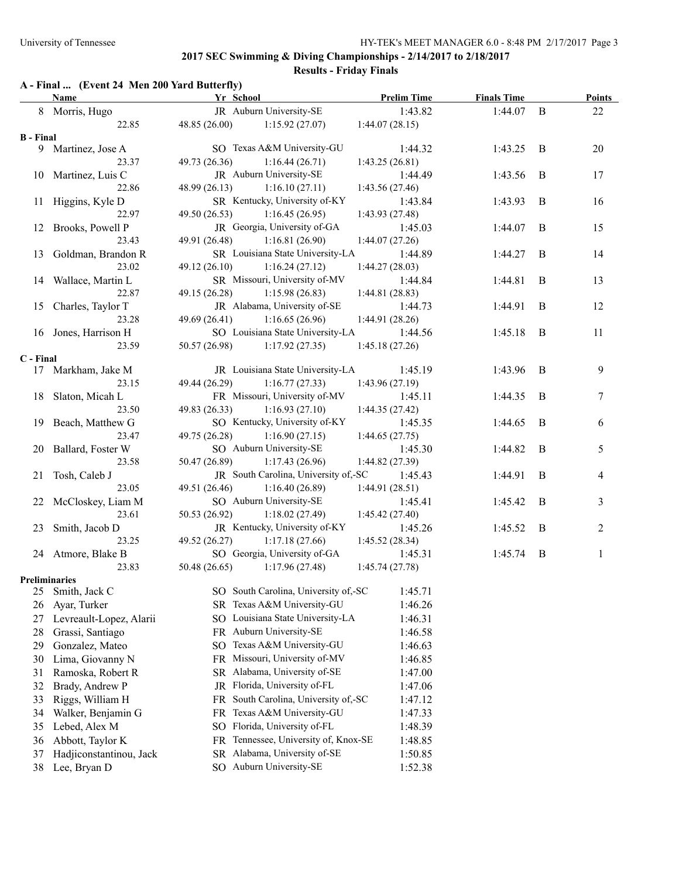**Results - Friday Finals**

## **A - Final ... (Event 24 Men 200 Yard Butterfly)**

|                  | Name                    | Yr School                               | <b>Prelim Time</b> | <b>Finals Time</b> |          | <b>Points</b>  |
|------------------|-------------------------|-----------------------------------------|--------------------|--------------------|----------|----------------|
|                  | 8 Morris, Hugo          | JR Auburn University-SE                 | 1:43.82            | 1:44.07            | B        | 22             |
|                  | 22.85                   | 48.85(26.00)<br>1:15.92(27.07)          | 1:44.07(28.15)     |                    |          |                |
| <b>B</b> - Final |                         |                                         |                    |                    |          |                |
|                  | 9 Martinez, Jose A      | SO Texas A&M University-GU              | 1:44.32            | 1:43.25            | B        | 20             |
|                  | 23.37                   | 49.73 (26.36)<br>1:16.44(26.71)         | 1:43.25(26.81)     |                    |          |                |
|                  | 10 Martinez, Luis C     | JR Auburn University-SE                 | 1:44.49            | 1:43.56            | B        | 17             |
|                  | 22.86                   | 48.99 (26.13)<br>1:16.10(27.11)         | 1:43.56(27.46)     |                    |          |                |
|                  | 11 Higgins, Kyle D      | SR Kentucky, University of-KY           | 1:43.84            | 1:43.93            | $\bf{B}$ | 16             |
|                  | 22.97                   | 1:16.45(26.95)<br>49.50 (26.53)         | 1:43.93(27.48)     |                    |          |                |
|                  | 12 Brooks, Powell P     | JR Georgia, University of-GA            | 1:45.03            | 1:44.07            | B        | 15             |
|                  | 23.43                   | 49.91 (26.48)<br>1:16.81(26.90)         | 1:44.07(27.26)     |                    |          |                |
| 13               | Goldman, Brandon R      | SR Louisiana State University-LA        | 1:44.89            | 1:44.27            | B        | 14             |
|                  | 23.02                   | $49.12(26.10)$ 1:16.24 (27.12)          | 1:44.27(28.03)     |                    |          |                |
|                  | 14 Wallace, Martin L    | SR Missouri, University of-MV           | 1:44.84            | 1:44.81            | B        | 13             |
|                  | 22.87                   | 49.15 (26.28)<br>1:15.98(26.83)         | 1:44.81(28.83)     |                    |          |                |
| 15               | Charles, Taylor T       | JR Alabama, University of-SE            | 1:44.73            | 1:44.91            | $\bf{B}$ | 12             |
|                  | 23.28                   | $49.69(26.41)$ 1:16.65 (26.96)          | 1:44.91(28.26)     |                    |          |                |
|                  | 16 Jones, Harrison H    | SO Louisiana State University-LA        | 1:44.56            | 1:45.18            | B        | 11             |
|                  | 23.59                   | $50.57(26.98)$ 1:17.92 (27.35)          | 1:45.18(27.26)     |                    |          |                |
| C - Final        |                         |                                         |                    |                    |          |                |
|                  | 17 Markham, Jake M      | JR Louisiana State University-LA        | 1:45.19            | 1:43.96            | B        | 9              |
|                  | 23.15                   | 49.44 (26.29)<br>1:16.77(27.33)         | 1:43.96(27.19)     |                    |          |                |
|                  | 18 Slaton, Micah L      | FR Missouri, University of-MV           | 1:45.11            | 1:44.35            | B        | $\tau$         |
|                  | 23.50                   | 49.83 (26.33)<br>1:16.93(27.10)         | 1:44.35(27.42)     |                    |          |                |
|                  | 19 Beach, Matthew G     | SO Kentucky, University of-KY           | 1:45.35            | 1:44.65            | B        | 6              |
|                  | 23.47                   | 49.75 (26.28)<br>1:16.90(27.15)         | 1:44.65(27.75)     |                    |          |                |
|                  | 20 Ballard, Foster W    | SO Auburn University-SE                 | 1:45.30            | 1:44.82            | B        | 5              |
|                  | 23.58                   | 50.47 (26.89)<br>1:17.43(26.96)         | 1:44.82(27.39)     |                    |          |                |
|                  | 21 Tosh, Caleb J        | JR South Carolina, University of,-SC    | 1:45.43            | 1:44.91            | B        | 4              |
|                  | 23.05                   | 49.51 (26.46)<br>1:16.40(26.89)         | 1:44.91(28.51)     |                    |          |                |
|                  | 22 McCloskey, Liam M    | SO Auburn University-SE                 | 1:45.41            | 1:45.42            | $\bf{B}$ | 3              |
|                  | 23.61                   | 50.53 (26.92)<br>1:18.02(27.49)         | 1:45.42(27.40)     |                    |          |                |
| 23               | Smith, Jacob D          | JR Kentucky, University of-KY           | 1:45.26            | 1:45.52            | B        | $\overline{2}$ |
|                  | 23.25                   | 49.52 (26.27)<br>1:17.18(27.66)         | 1:45.52(28.34)     |                    |          |                |
|                  | 24 Atmore, Blake B      | SO Georgia, University of-GA            | 1:45.31            | 1:45.74            | B        | $\mathbf{1}$   |
|                  | 23.83                   | 50.48 $(26.65)$<br>1:17.96(27.48)       | 1:45.74(27.78)     |                    |          |                |
|                  | <b>Preliminaries</b>    |                                         |                    |                    |          |                |
| 25               | Smith, Jack C           | SO South Carolina, University of,-SC    | 1:45.71            |                    |          |                |
| 26               | Ayar, Turker            | SR Texas A&M University-GU              | 1:46.26            |                    |          |                |
| 27               | Levreault-Lopez, Alarii | SO Louisiana State University-LA        | 1:46.31            |                    |          |                |
| 28               | Grassi, Santiago        | FR Auburn University-SE                 | 1:46.58            |                    |          |                |
| 29               | Gonzalez, Mateo         | SO Texas A&M University-GU              | 1:46.63            |                    |          |                |
| 30               | Lima, Giovanny N        | FR Missouri, University of-MV           | 1:46.85            |                    |          |                |
| 31               | Ramoska, Robert R       | SR Alabama, University of-SE            | 1:47.00            |                    |          |                |
| 32               | Brady, Andrew P         | JR Florida, University of-FL            | 1:47.06            |                    |          |                |
| 33               | Riggs, William H        | South Carolina, University of,-SC<br>FR | 1:47.12            |                    |          |                |
| 34               | Walker, Benjamin G      | Texas A&M University-GU<br>FR           | 1:47.33            |                    |          |                |
| 35               | Lebed, Alex M           | Florida, University of-FL<br>SO.        | 1:48.39            |                    |          |                |
| 36               | Abbott, Taylor K        | Tennessee, University of, Knox-SE<br>FR | 1:48.85            |                    |          |                |
| 37               | Hadjiconstantinou, Jack | Alabama, University of-SE<br><b>SR</b>  | 1:50.85            |                    |          |                |
| 38               | Lee, Bryan D            | Auburn University-SE<br>SO              | 1:52.38            |                    |          |                |
|                  |                         |                                         |                    |                    |          |                |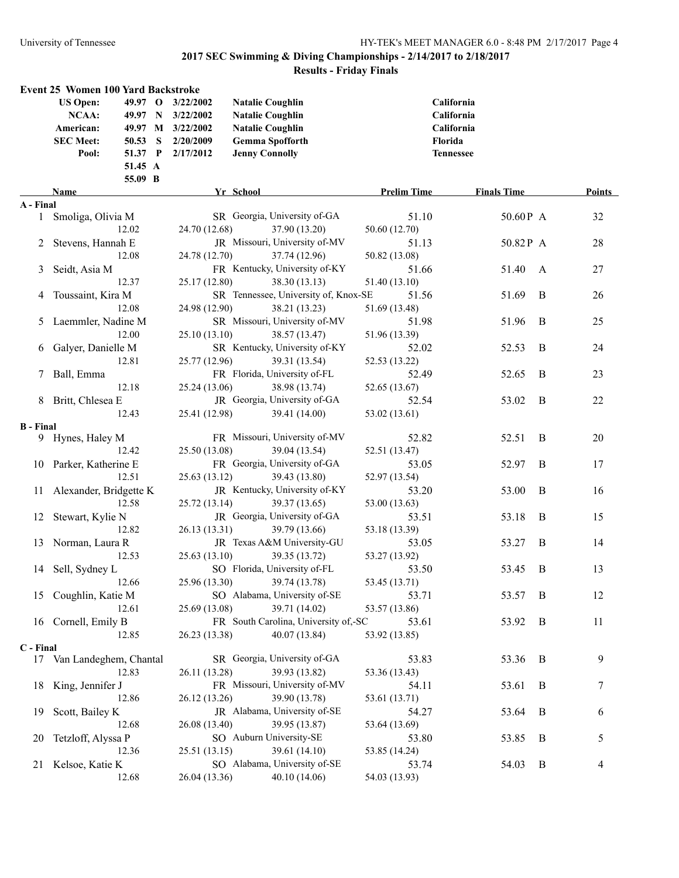|           | <b>Event 25 Women 100 Yard Backstroke</b>                 |         |                                                                          |                                                                                                         |                    |                                        |   |        |
|-----------|-----------------------------------------------------------|---------|--------------------------------------------------------------------------|---------------------------------------------------------------------------------------------------------|--------------------|----------------------------------------|---|--------|
|           | <b>US Open:</b><br>NCAA:<br>American:<br><b>SEC Meet:</b> | 50.53 S | 49.97 O 3/22/2002<br>49.97 N 3/22/2002<br>49.97 M 3/22/2002<br>2/20/2009 | <b>Natalie Coughlin</b><br><b>Natalie Coughlin</b><br><b>Natalie Coughlin</b><br><b>Gemma Spofforth</b> | Florida            | California<br>California<br>California |   |        |
|           | Pool:                                                     |         | 51.37 P 2/17/2012                                                        | <b>Jenny Connolly</b>                                                                                   | <b>Tennessee</b>   |                                        |   |        |
|           |                                                           | 51.45 A |                                                                          |                                                                                                         |                    |                                        |   |        |
|           |                                                           | 55.09 B |                                                                          |                                                                                                         |                    |                                        |   |        |
|           | Name                                                      |         |                                                                          | Yr School                                                                                               | <b>Prelim Time</b> | <b>Finals Time</b>                     |   | Points |
| A - Final |                                                           |         |                                                                          |                                                                                                         |                    |                                        |   |        |
|           | 1 Smoliga, Olivia M                                       |         |                                                                          | SR Georgia, University of-GA                                                                            | 51.10              | 50.60P A                               |   | 32     |
|           | 12.02                                                     |         | 24.70 (12.68)                                                            | 37.90 (13.20)                                                                                           | 50.60 (12.70)      |                                        |   |        |
|           | 2 Stevens, Hannah E                                       |         |                                                                          | JR Missouri, University of-MV                                                                           | 51.13              | 50.82P A                               |   | 28     |
|           | 12.08                                                     |         | 24.78 (12.70)                                                            | 37.74 (12.96)                                                                                           | 50.82 (13.08)      |                                        |   |        |
| 3         | Seidt, Asia M                                             |         |                                                                          | FR Kentucky, University of-KY                                                                           | 51.66              | 51.40                                  | A | 27     |
|           | 12.37                                                     |         | 25.17 (12.80)                                                            | 38.30 (13.13)                                                                                           | 51.40 (13.10)      |                                        |   |        |
| 4         | Toussaint, Kira M                                         |         |                                                                          | SR Tennessee, University of, Knox-SE                                                                    | 51.56              | 51.69                                  | B | 26     |
|           | 12.08                                                     |         | 24.98 (12.90)                                                            | 38.21 (13.23)                                                                                           | 51.69 (13.48)      |                                        |   |        |
|           | 5 Laemmler, Nadine M                                      |         |                                                                          | SR Missouri, University of-MV                                                                           | 51.98              | 51.96                                  | B | 25     |
|           | 12.00                                                     |         | 25.10 (13.10)                                                            | 38.57 (13.47)                                                                                           | 51.96 (13.39)      |                                        |   |        |
|           | 6 Galyer, Danielle M                                      |         |                                                                          | SR Kentucky, University of-KY                                                                           | 52.02              | 52.53                                  | B | 24     |
|           | 12.81                                                     |         | 25.77 (12.96)                                                            | 39.31 (13.54)                                                                                           | 52.53 (13.22)      |                                        |   |        |
|           | Ball, Emma                                                |         |                                                                          | FR Florida, University of-FL                                                                            | 52.49              | 52.65                                  | B | 23     |
|           | 12.18                                                     |         | 25.24 (13.06)                                                            | 38.98 (13.74)                                                                                           | 52.65 (13.67)      |                                        |   |        |
|           | 8 Britt, Chlesea E                                        |         |                                                                          | JR Georgia, University of-GA                                                                            | 52.54              | 53.02                                  | B | 22     |
|           | 12.43                                                     |         | 25.41 (12.98)                                                            | 39.41 (14.00)                                                                                           | 53.02 (13.61)      |                                        |   |        |
| B - Final | 9 Hynes, Haley M                                          |         |                                                                          | FR Missouri, University of-MV                                                                           | 52.82              | 52.51                                  | B | 20     |
|           | 12.42                                                     |         | 25.50 (13.08)                                                            | 39.04 (13.54)                                                                                           | 52.51 (13.47)      |                                        |   |        |
|           | 10 Parker, Katherine E                                    |         |                                                                          | FR Georgia, University of-GA                                                                            | 53.05              | 52.97                                  | B | 17     |
|           | 12.51                                                     |         | 25.63(13.12)                                                             | 39.43 (13.80)                                                                                           | 52.97 (13.54)      |                                        |   |        |
|           | 11 Alexander, Bridgette K                                 |         |                                                                          | JR Kentucky, University of-KY                                                                           | 53.20              | 53.00                                  | B | 16     |
|           | 12.58                                                     |         | 25.72(13.14)                                                             | 39.37 (13.65)                                                                                           | 53.00 (13.63)      |                                        |   |        |
|           | 12 Stewart, Kylie N                                       |         |                                                                          | JR Georgia, University of-GA                                                                            | 53.51              | 53.18                                  | B | 15     |
|           | 12.82                                                     |         | 26.13 (13.31)                                                            | 39.79 (13.66)                                                                                           | 53.18 (13.39)      |                                        |   |        |
|           | 13 Norman, Laura R                                        |         |                                                                          | JR Texas A&M University-GU                                                                              | 53.05              | 53.27                                  | B | 14     |
|           | 12.53                                                     |         | 25.63 (13.10)                                                            | 39.35 (13.72)                                                                                           | 53.27 (13.92)      |                                        |   |        |
|           | 14 Sell, Sydney L                                         |         |                                                                          | SO Florida, University of-FL                                                                            | 53.50              | 53.45                                  | B | 13     |
|           | 12.66                                                     |         |                                                                          | 25.96 (13.30) 39.74 (13.78)                                                                             | 53.45 (13.71)      |                                        |   |        |
|           | 15 Coughlin, Katie M                                      |         |                                                                          | SO Alabama, University of-SE                                                                            | 53.71              | 53.57                                  | B | 12     |
|           | 12.61                                                     |         | 25.69 (13.08)                                                            | 39.71 (14.02)                                                                                           | 53.57 (13.86)      |                                        |   |        |
|           | 16 Cornell, Emily B                                       |         |                                                                          | FR South Carolina, University of,-SC                                                                    | 53.61              | 53.92                                  | B | 11     |
|           | 12.85                                                     |         | 26.23 (13.38)                                                            | 40.07 (13.84)                                                                                           | 53.92 (13.85)      |                                        |   |        |
| C - Final |                                                           |         |                                                                          |                                                                                                         |                    |                                        |   |        |
|           | 17 Van Landeghem, Chantal                                 |         |                                                                          | SR Georgia, University of-GA                                                                            | 53.83              | 53.36                                  | B | 9      |
|           | 12.83                                                     |         | 26.11 (13.28)                                                            | 39.93 (13.82)                                                                                           | 53.36 (13.43)      |                                        |   |        |
|           | 18 King, Jennifer J                                       |         |                                                                          | FR Missouri, University of-MV                                                                           | 54.11              | 53.61                                  | B | 7      |
|           | 12.86                                                     |         | 26.12 (13.26)                                                            | 39.90 (13.78)                                                                                           | 53.61 (13.71)      |                                        |   |        |
| 19        | Scott, Bailey K                                           |         |                                                                          | JR Alabama, University of-SE                                                                            | 54.27              | 53.64                                  | B | 6      |
|           | 12.68                                                     |         | 26.08 (13.40)                                                            | 39.95 (13.87)                                                                                           | 53.64 (13.69)      |                                        |   |        |
| 20        | Tetzloff, Alyssa P                                        |         |                                                                          | SO Auburn University-SE                                                                                 | 53.80              | 53.85                                  | B | 5      |
|           | 12.36                                                     |         | 25.51 (13.15)                                                            | 39.61 (14.10)                                                                                           | 53.85 (14.24)      |                                        |   |        |
|           | 21 Kelsoe, Katie K                                        |         |                                                                          | SO Alabama, University of-SE                                                                            | 53.74              | 54.03                                  | B | 4      |
|           | 12.68                                                     |         | 26.04 (13.36)                                                            | 40.10 (14.06)                                                                                           | 54.03 (13.93)      |                                        |   |        |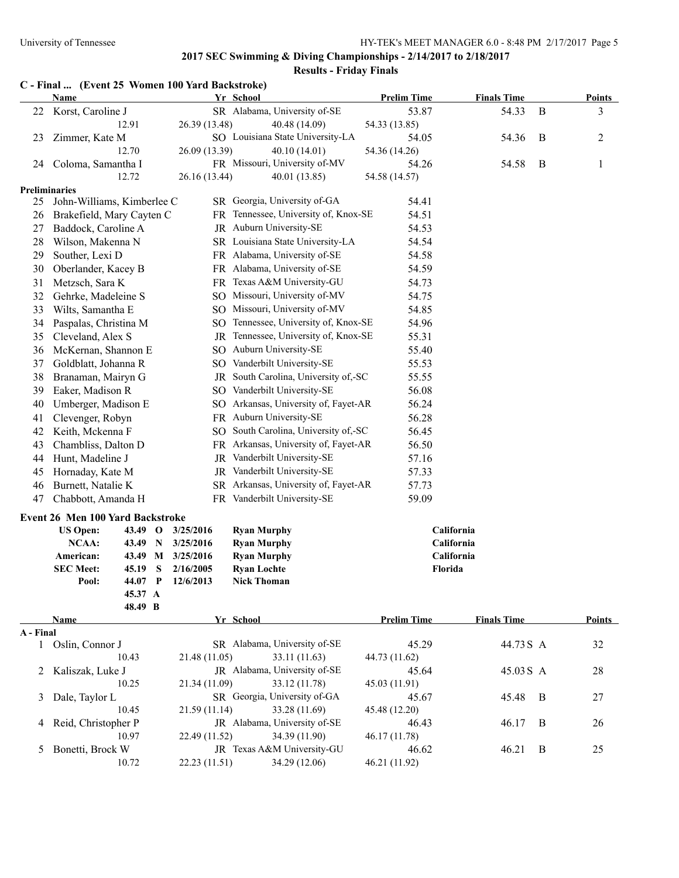|              | C - Final  (Event 25 Women 100 Yard Backstroke) |                       |                        |                                          |                    |                          |              |                |
|--------------|-------------------------------------------------|-----------------------|------------------------|------------------------------------------|--------------------|--------------------------|--------------|----------------|
|              | <b>Name</b>                                     |                       |                        | Yr School                                | <b>Prelim Time</b> | <b>Finals Time</b>       |              | Points         |
| 22           | Korst, Caroline J                               |                       |                        | SR Alabama, University of-SE             | 53.87              | 54.33                    | $\, {\bf B}$ | 3              |
|              | 12.91                                           |                       | 26.39 (13.48)          | 40.48 (14.09)                            | 54.33 (13.85)      |                          |              |                |
| 23           | Zimmer, Kate M                                  |                       |                        | SO Louisiana State University-LA         | 54.05              | 54.36                    | B            | $\overline{c}$ |
|              | 12.70                                           |                       | 26.09 (13.39)          | 40.10 (14.01)                            | 54.36 (14.26)      |                          |              |                |
| 24           | Coloma, Samantha I                              |                       |                        | FR Missouri, University of-MV            | 54.26              | 54.58                    | B            | $\mathbf{1}$   |
|              | 12.72                                           |                       | 26.16 (13.44)          | 40.01 (13.85)                            | 54.58 (14.57)      |                          |              |                |
|              | <b>Preliminaries</b>                            |                       |                        |                                          |                    |                          |              |                |
| 25           | John-Williams, Kimberlee C                      |                       |                        | SR Georgia, University of-GA             | 54.41              |                          |              |                |
| 26           | Brakefield, Mary Cayten C                       |                       |                        | FR Tennessee, University of, Knox-SE     | 54.51              |                          |              |                |
| 27           | Baddock, Caroline A                             |                       |                        | JR Auburn University-SE                  | 54.53              |                          |              |                |
| 28           | Wilson, Makenna N                               |                       |                        | SR Louisiana State University-LA         | 54.54              |                          |              |                |
| 29           | Souther, Lexi D                                 |                       |                        | FR Alabama, University of-SE             | 54.58              |                          |              |                |
| 30           | Oberlander, Kacey B                             |                       |                        | FR Alabama, University of-SE             | 54.59              |                          |              |                |
| 31           | Metzsch, Sara K                                 |                       |                        | FR Texas A&M University-GU               | 54.73              |                          |              |                |
| 32           | Gehrke, Madeleine S                             |                       |                        | SO Missouri, University of-MV            | 54.75              |                          |              |                |
| 33           | Wilts, Samantha E                               |                       |                        | SO Missouri, University of-MV            | 54.85              |                          |              |                |
| 34           | Paspalas, Christina M                           |                       |                        | SO Tennessee, University of, Knox-SE     | 54.96              |                          |              |                |
| 35           | Cleveland, Alex S                               |                       | JR                     | Tennessee, University of, Knox-SE        | 55.31              |                          |              |                |
| 36           | McKernan, Shannon E                             |                       | SO.                    | Auburn University-SE                     | 55.40              |                          |              |                |
| 37           | Goldblatt, Johanna R                            |                       | SO.                    | Vanderbilt University-SE                 | 55.53              |                          |              |                |
| 38           | Branaman, Mairyn G                              |                       |                        | JR South Carolina, University of,-SC     | 55.55              |                          |              |                |
| 39           | Eaker, Madison R                                |                       |                        | SO Vanderbilt University-SE              | 56.08              |                          |              |                |
| 40           | Umberger, Madison E                             |                       |                        | SO Arkansas, University of, Fayet-AR     | 56.24              |                          |              |                |
| 41           | Clevenger, Robyn                                |                       |                        | FR Auburn University-SE                  | 56.28              |                          |              |                |
| 42           | Keith, Mckenna F                                |                       |                        | SO South Carolina, University of,-SC     | 56.45              |                          |              |                |
| 43           | Chambliss, Dalton D                             |                       |                        | FR Arkansas, University of, Fayet-AR     | 56.50              |                          |              |                |
| 44           | Hunt, Madeline J                                |                       |                        | JR Vanderbilt University-SE              | 57.16              |                          |              |                |
| 45           | Hornaday, Kate M                                |                       | JR                     | Vanderbilt University-SE                 | 57.33              |                          |              |                |
| 46           | Burnett, Natalie K                              |                       | SR                     | Arkansas, University of, Fayet-AR        | 57.73              |                          |              |                |
| 47           | Chabbott, Amanda H                              |                       |                        | FR Vanderbilt University-SE              | 59.09              |                          |              |                |
|              |                                                 |                       |                        |                                          |                    |                          |              |                |
|              | <b>Event 26 Men 100 Yard Backstroke</b>         |                       |                        |                                          |                    |                          |              |                |
|              | <b>US Open:</b>                                 | 43.49 O               | 3/25/2016              | <b>Ryan Murphy</b>                       |                    | California<br>California |              |                |
|              | NCAA:<br>American:                              | 43.49<br>N            | 3/25/2016              | <b>Ryan Murphy</b>                       |                    | California               |              |                |
|              | <b>SEC Meet:</b>                                | 43.49 M<br>S<br>45.19 | 3/25/2016<br>2/16/2005 | <b>Ryan Murphy</b><br><b>Ryan Lochte</b> | Florida            |                          |              |                |
|              | Pool:                                           | $\mathbf P$<br>44.07  | 12/6/2013              | <b>Nick Thoman</b>                       |                    |                          |              |                |
|              |                                                 | 45.37 A               |                        |                                          |                    |                          |              |                |
|              |                                                 | 48.49 B               |                        |                                          |                    |                          |              |                |
|              | Name                                            |                       |                        | Yr School                                | <b>Prelim Time</b> | <b>Finals Time</b>       |              | Points         |
| <b>Final</b> |                                                 |                       |                        |                                          |                    |                          |              |                |

| A - Final           |               |               |                                                                                                                                                            |       |   |                               |
|---------------------|---------------|---------------|------------------------------------------------------------------------------------------------------------------------------------------------------------|-------|---|-------------------------------|
| Oslin, Connor J     |               |               | 45.29                                                                                                                                                      |       |   | 32                            |
| 10.43               | 21.48 (11.05) | 33.11 (11.63) | 44.73 (11.62)                                                                                                                                              |       |   |                               |
| Kaliszak, Luke J    |               |               | 45.64                                                                                                                                                      |       |   | 28                            |
| 10.25               | 21.34 (11.09) | 33.12 (11.78) | 45.03 (11.91)                                                                                                                                              |       |   |                               |
| Dale, Taylor L      |               |               | 45.67                                                                                                                                                      | 45.48 |   | 27                            |
| 10.45               | 21.59(11.14)  | 33.28 (11.69) | 45.48 (12.20)                                                                                                                                              |       |   |                               |
| Reid, Christopher P |               |               | 46.43                                                                                                                                                      | 46.17 | B | 26                            |
| 10.97               | 22.49(11.52)  | 34.39 (11.90) | 46.17 (11.78)                                                                                                                                              |       |   |                               |
| Bonetti, Brock W    |               |               | 46.62                                                                                                                                                      | 46.21 | B | 25                            |
| 10.72               | 22.23(11.51)  | 34.29 (12.06) | 46.21 (11.92)                                                                                                                                              |       |   |                               |
|                     |               |               | SR Alabama, University of-SE<br>JR Alabama, University of-SE<br>SR Georgia, University of-GA<br>JR Alabama, University of-SE<br>JR Texas A&M University-GU |       |   | 44.73 S A<br>45.03 S A<br>- B |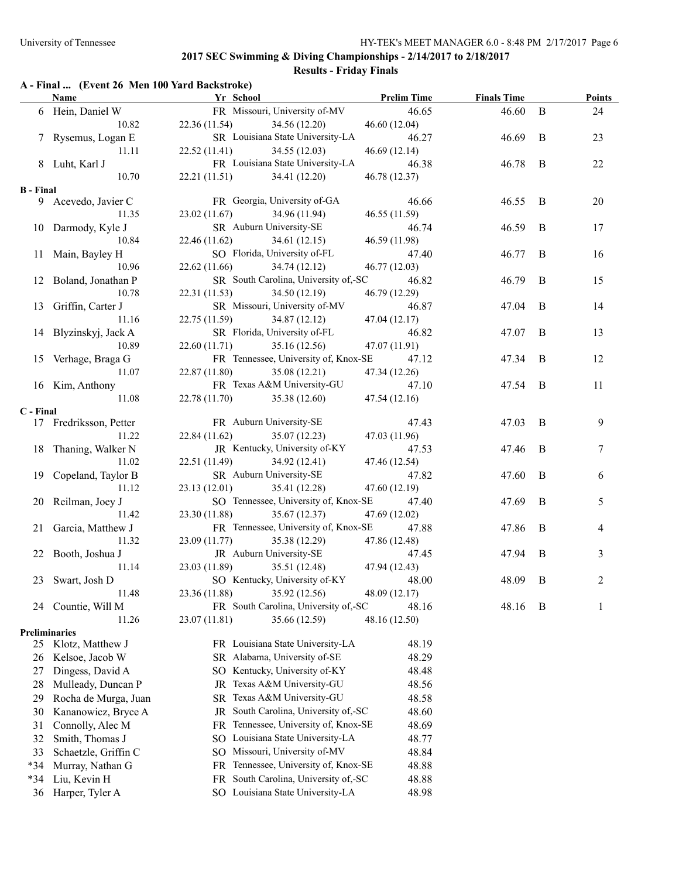## **Results - Friday Finals**

#### **A - Final ... (Event 26 Men 100 Yard Backstroke)**

|                      | Name Yr School         |                               | <b>Prelim Time</b>                         |               | <b>Example 1</b> Finals Time |                | Points         |
|----------------------|------------------------|-------------------------------|--------------------------------------------|---------------|------------------------------|----------------|----------------|
|                      | 6 Hein, Daniel W       |                               | FR Missouri, University of-MV              | 46.65         | 46.60                        | B              | 24             |
|                      | 10.82                  | 22.36(11.54)                  | 34.56 (12.20)                              | 46.60(12.04)  |                              |                |                |
|                      | 7 Rysemus, Logan E     |                               | SR Louisiana State University-LA           | 46.27         | 46.69                        | B              | 23             |
|                      | 11.11                  | 22.52(11.41)                  | 34.55(12.03)                               | 46.69(12.14)  |                              |                |                |
|                      | 8 Luht, Karl J         |                               | FR Louisiana State University-LA           | 46.38         | 46.78                        | B              | 22             |
|                      | 10.70                  | 22.21(11.51)                  | 34.41 (12.20)                              | 46.78 (12.37) |                              |                |                |
| <b>B</b> - Final     |                        |                               |                                            |               |                              |                |                |
|                      | 9 Acevedo, Javier C    |                               | FR Georgia, University of-GA               | 46.66         | 46.55                        | $\overline{B}$ | 20             |
|                      | 11.35                  | 23.02(11.67)                  | 34.96 (11.94)                              | 46.55 (11.59) |                              |                |                |
|                      | 10 Darmody, Kyle J     |                               | SR Auburn University-SE                    | 46.74         | 46.59                        | B              | 17             |
|                      | 10.84                  | 22.46 (11.62)                 | 34.61 (12.15)                              | 46.59 (11.98) |                              |                |                |
|                      | 11 Main, Bayley H      |                               | SO Florida, University of-FL               | 47.40         | 46.77                        | B              | 16             |
|                      | 10.96                  | 22.62(11.66)                  | 34.74 (12.12)                              | 46.77 (12.03) |                              |                |                |
|                      | 12 Boland, Jonathan P  |                               | SR South Carolina, University of,-SC       | 46.82         | 46.79                        | B              | 15             |
|                      | 10.78                  | 22.31(11.53)                  | 34.50 (12.19)                              | 46.79 (12.29) |                              |                |                |
|                      | 13 Griffin, Carter J   |                               | SR Missouri, University of-MV              | 46.87         | 47.04                        | B              | 14             |
|                      | 11.16                  |                               | 22.75 (11.59) 34.87 (12.12)                | 47.04 (12.17) |                              |                |                |
|                      | 14 Blyzinskyj, Jack A  |                               | SR Florida, University of-FL               | 46.82         | 47.07                        | B              | 13             |
|                      | 10.89                  | $22.60(11.71)$ $35.16(12.56)$ |                                            | 47.07 (11.91) |                              |                |                |
|                      | 15 Verhage, Braga G    |                               | FR Tennessee, University of, Knox-SE       | 47.12         | 47.34                        | B              | 12             |
|                      | 11.07                  | 22.87 (11.80)                 | 35.08 (12.21)                              | 47.34 (12.26) |                              |                |                |
|                      | 16 Kim, Anthony        |                               | FR Texas A&M University-GU                 | 47.10         | 47.54                        | B              | 11             |
|                      | 11.08                  | 22.78 (11.70) 35.38 (12.60)   |                                            | 47.54(12.16)  |                              |                |                |
| C - Final            |                        |                               |                                            |               |                              |                |                |
|                      | 17 Fredriksson, Petter |                               | FR Auburn University-SE                    | 47.43         | 47.03                        | - B            | 9              |
|                      | 11.22                  | 22.84 (11.62) 35.07 (12.23)   |                                            | 47.03 (11.96) |                              |                |                |
|                      | 18 Thaning, Walker N   |                               | JR Kentucky, University of-KY              | 47.53         | 47.46                        | B              | 7              |
|                      | 11.02                  | 22.51 (11.49) 34.92 (12.41)   |                                            | 47.46 (12.54) |                              |                |                |
|                      | 19 Copeland, Taylor B  |                               | SR Auburn University-SE                    | 47.82         | 47.60                        | B              | 6              |
|                      | 11.12                  | 23.13 (12.01) 35.41 (12.28)   |                                            | 47.60 (12.19) |                              |                |                |
|                      | 20 Reilman, Joey J     |                               | SO Tennessee, University of, Knox-SE 47.40 |               | 47.69                        | $\bf{B}$       | 5              |
|                      | 11.42                  |                               | 23.30 (11.88) 35.67 (12.37)                | 47.69 (12.02) |                              |                |                |
|                      | 21 Garcia, Matthew J   |                               | FR Tennessee, University of, Knox-SE       | 47.88         | 47.86                        | B              | 4              |
|                      | 11.32                  |                               | 23.09 (11.77) 35.38 (12.29)                | 47.86 (12.48) |                              |                |                |
|                      | 22 Booth, Joshua J     |                               | JR Auburn University-SE                    | 47.45         | 47.94                        | B              | 3              |
|                      | 11.14                  | 23.03 (11.89)                 | 35.51 (12.48)                              | 47.94(12.43)  |                              |                |                |
|                      | 23 Swart, Josh D       |                               | SO Kentucky, University of-KY              | 48.00         | 48.09                        | B              | $\overline{2}$ |
|                      | 11.48                  | 23.36 (11.88)                 | 35.92 (12.56)                              | 48.09 (12.17) |                              |                |                |
| 24                   | Countie, Will M        |                               | FR South Carolina, University of,-SC       | 48.16         | 48.16                        | B              | 1              |
|                      | 11.26                  | 23.07 (11.81)                 | 35.66 (12.59)                              | 48.16 (12.50) |                              |                |                |
| <b>Preliminaries</b> |                        |                               |                                            |               |                              |                |                |
| 25                   | Klotz, Matthew J       |                               | FR Louisiana State University-LA           | 48.19         |                              |                |                |
| 26                   | Kelsoe, Jacob W        |                               | SR Alabama, University of-SE               | 48.29         |                              |                |                |
| 27                   | Dingess, David A       |                               | SO Kentucky, University of-KY              | 48.48         |                              |                |                |
| 28                   | Mulleady, Duncan P     | JR                            | Texas A&M University-GU                    | 48.56         |                              |                |                |
| 29                   | Rocha de Murga, Juan   | SR                            | Texas A&M University-GU                    | 48.58         |                              |                |                |
| 30                   | Kananowicz, Bryce A    | JR                            | South Carolina, University of,-SC          | 48.60         |                              |                |                |
| 31                   | Connolly, Alec M       | FR.                           | Tennessee, University of, Knox-SE          | 48.69         |                              |                |                |
| 32                   | Smith, Thomas J        | SO.                           | Louisiana State University-LA              | 48.77         |                              |                |                |
| 33                   | Schaetzle, Griffin C   | SO.                           | Missouri, University of-MV                 | 48.84         |                              |                |                |
| $*34$                | Murray, Nathan G       | FR.                           | Tennessee, University of, Knox-SE          | 48.88         |                              |                |                |
| $*34$                | Liu, Kevin H           | FR.                           | South Carolina, University of,-SC          | 48.88         |                              |                |                |
| 36                   | Harper, Tyler A        |                               | SO Louisiana State University-LA           | 48.98         |                              |                |                |
|                      |                        |                               |                                            |               |                              |                |                |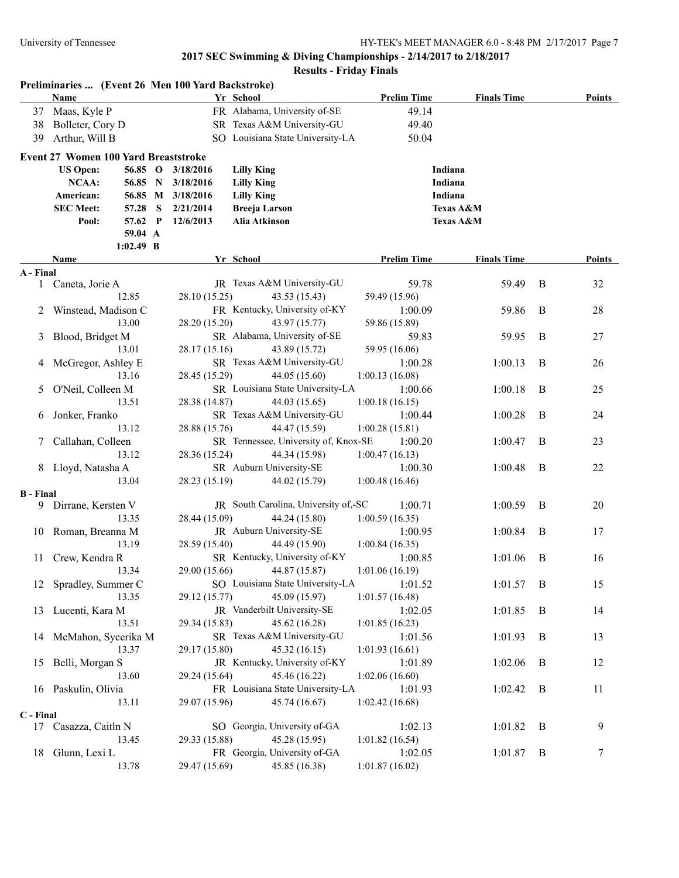|                  | Preliminaries  (Event 26 Men 100 Yard Backstroke)<br>Name |             |   |                   | Yr School                            | <b>Prelim Time</b> | <b>Finals Time</b> |                | <b>Points</b> |
|------------------|-----------------------------------------------------------|-------------|---|-------------------|--------------------------------------|--------------------|--------------------|----------------|---------------|
|                  | 37 Maas, Kyle P                                           |             |   |                   | FR Alabama, University of-SE         | 49.14              |                    |                |               |
| 38               | Bolleter, Cory D                                          |             |   |                   | SR Texas A&M University-GU           | 49.40              |                    |                |               |
| 39               | Arthur, Will B                                            |             |   |                   | SO Louisiana State University-LA     | 50.04              |                    |                |               |
|                  | Event 27 Women 100 Yard Breaststroke                      |             |   |                   |                                      |                    |                    |                |               |
|                  | <b>US Open:</b>                                           | 56.85 O     |   | 3/18/2016         | <b>Lilly King</b>                    | Indiana            |                    |                |               |
|                  | <b>NCAA:</b>                                              | 56.85 N     |   | 3/18/2016         | <b>Lilly King</b>                    | Indiana            |                    |                |               |
|                  | American:                                                 |             |   | 56.85 M 3/18/2016 | <b>Lilly King</b>                    | Indiana            |                    |                |               |
|                  | <b>SEC Meet:</b>                                          | 57.28       | S | 2/21/2014         | <b>Breeja Larson</b>                 |                    | Texas A&M          |                |               |
|                  | Pool:                                                     | 57.62 P     |   | 12/6/2013         | Alia Atkinson                        |                    | Texas A&M          |                |               |
|                  |                                                           | 59.04 A     |   |                   |                                      |                    |                    |                |               |
|                  |                                                           | $1:02.49$ B |   |                   |                                      |                    |                    |                |               |
|                  | Name                                                      |             |   |                   | Yr School                            | <b>Prelim Time</b> | <b>Finals Time</b> |                | Points        |
| A - Final        |                                                           |             |   |                   |                                      |                    |                    |                |               |
|                  | 1 Caneta, Jorie A                                         |             |   |                   | JR Texas A&M University-GU           | 59.78              | 59.49              | B              | 32            |
|                  |                                                           | 12.85       |   | 28.10 (15.25)     | 43.53 (15.43)                        | 59.49 (15.96)      |                    |                |               |
| 2                | Winstead, Madison C                                       |             |   |                   | FR Kentucky, University of-KY        | 1:00.09            | 59.86              | B              | 28            |
|                  |                                                           | 13.00       |   | 28.20 (15.20)     | 43.97 (15.77)                        | 59.86 (15.89)      |                    |                |               |
| 3                | Blood, Bridget M                                          |             |   |                   | SR Alabama, University of-SE         | 59.83              | 59.95              | B              | 27            |
|                  |                                                           | 13.01       |   | 28.17 (15.16)     | 43.89 (15.72)                        | 59.95 (16.06)      |                    |                |               |
| 4                | McGregor, Ashley E                                        |             |   |                   | SR Texas A&M University-GU           | 1:00.28            | 1:00.13            | B              | 26            |
|                  |                                                           | 13.16       |   | 28.45 (15.29)     | 44.05 (15.60)                        | 1:00.13(16.08)     |                    |                |               |
| 5                | O'Neil, Colleen M                                         |             |   |                   | SR Louisiana State University-LA     | 1:00.66            | 1:00.18            | B              | 25            |
|                  |                                                           | 13.51       |   | 28.38 (14.87)     | 44.03 (15.65)                        | 1:00.18(16.15)     |                    |                |               |
| 6                | Jonker, Franko                                            |             |   |                   | SR Texas A&M University-GU           | 1:00.44            | 1:00.28            | B              | 24            |
|                  |                                                           | 13.12       |   | 28.88 (15.76)     | 44.47 (15.59)                        | 1:00.28(15.81)     |                    |                |               |
| 7                | Callahan, Colleen                                         |             |   |                   | SR Tennessee, University of, Knox-SE | 1:00.20            | 1:00.47            | B              | 23            |
|                  |                                                           | 13.12       |   | 28.36 (15.24)     | 44.34 (15.98)                        | 1:00.47(16.13)     |                    |                |               |
|                  | 8 Lloyd, Natasha A                                        |             |   |                   | SR Auburn University-SE              | 1:00.30            | 1:00.48            | B              | 22            |
|                  |                                                           | 13.04       |   | 28.23 (15.19)     | 44.02 (15.79)                        | 1:00.48(16.46)     |                    |                |               |
| <b>B</b> - Final |                                                           |             |   |                   |                                      |                    |                    |                |               |
|                  | 9 Dirrane, Kersten V                                      |             |   |                   | JR South Carolina, University of,-SC | 1:00.71            | 1:00.59            | B              | 20            |
|                  |                                                           | 13.35       |   | 28.44 (15.09)     | 44.24 (15.80)                        | 1:00.59(16.35)     |                    |                |               |
|                  | 10 Roman, Breanna M                                       |             |   |                   | JR Auburn University-SE              | 1:00.95            | 1:00.84            | B              | 17            |
|                  |                                                           | 13.19       |   | 28.59 (15.40)     | 44.49 (15.90)                        | 1:00.84(16.35)     |                    |                |               |
| 11               | Crew, Kendra R                                            |             |   |                   | SR Kentucky, University of-KY        | 1:00.85            | 1:01.06            | B              | 16            |
|                  |                                                           | 13.34       |   | 29.00 (15.66)     | 44.87 (15.87)                        | 1:01.06(16.19)     |                    |                |               |
|                  | 12 Spradley, Summer C                                     |             |   |                   | SO Louisiana State University-LA     | 1:01.52            | 1:01.57            | $\overline{B}$ | 15            |
|                  |                                                           | 13.35       |   | 29.12 (15.77)     | 45.09 (15.97)                        | 1:01.57(16.48)     |                    |                |               |
|                  | 13 Lucenti, Kara M                                        |             |   |                   | JR Vanderbilt University-SE          | 1:02.05            | 1:01.85            | B              | 14            |
|                  |                                                           | 13.51       |   | 29.34 (15.83)     | 45.62 (16.28)                        | 1:01.85(16.23)     |                    |                |               |
| 14               | McMahon, Sycerika M                                       |             |   |                   | SR Texas A&M University-GU           | 1:01.56            | 1:01.93            | B              | 13            |
|                  |                                                           | 13.37       |   | 29.17 (15.80)     | 45.32 (16.15)                        | 1:01.93(16.61)     |                    |                |               |
| 15               | Belli, Morgan S                                           |             |   |                   | JR Kentucky, University of-KY        | 1:01.89            | 1:02.06            | B              | 12            |
|                  |                                                           | 13.60       |   | 29.24 (15.64)     | 45.46 (16.22)                        | 1:02.06(16.60)     |                    |                |               |
| 16               | Paskulin, Olivia                                          |             |   |                   | FR Louisiana State University-LA     | 1:01.93            | 1:02.42            | B              | 11            |
|                  |                                                           | 13.11       |   | 29.07 (15.96)     | 45.74 (16.67)                        | 1:02.42(16.68)     |                    |                |               |
| C - Final        |                                                           |             |   |                   |                                      |                    |                    |                |               |
| 17               | Casazza, Caitln N                                         |             |   |                   | SO Georgia, University of-GA         | 1:02.13            | 1:01.82            | $\mathbf B$    | 9             |
|                  |                                                           | 13.45       |   | 29.33 (15.88)     | 45.28 (15.95)                        | 1:01.82(16.54)     |                    |                |               |
| 18               | Glunn, Lexi L                                             |             |   |                   | FR Georgia, University of-GA         | 1:02.05            | 1:01.87            | $\mathbf B$    | 7             |
|                  |                                                           | 13.78       |   | 29.47 (15.69)     | 45.85 (16.38)                        | 1:01.87(16.02)     |                    |                |               |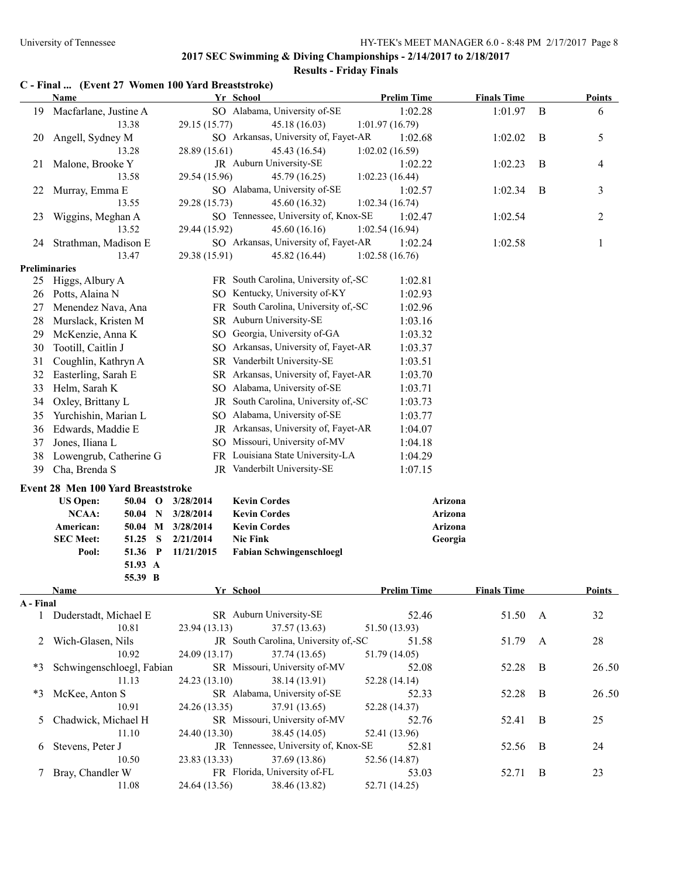#### **Results - Friday Finals**

# **C - Final ... (Event 27 Women 100 Yard Breaststroke)**

|               | <b>Name</b>                        |                   | Yr School                            | <b>Prelim Time</b> | <b>Finals Time</b> |              | <b>Points</b>  |
|---------------|------------------------------------|-------------------|--------------------------------------|--------------------|--------------------|--------------|----------------|
| 19            | Macfarlane, Justine A              |                   | SO Alabama, University of-SE         | 1:02.28            | 1:01.97            | B            | 6              |
|               | 13.38                              | 29.15 (15.77)     | 45.18 (16.03)                        | 1:01.97(16.79)     |                    |              |                |
| 20            | Angell, Sydney M                   |                   | SO Arkansas, University of, Fayet-AR | 1:02.68            | 1:02.02            | B            | 5              |
|               | 13.28                              | 28.89 (15.61)     | 45.43 (16.54)                        | 1:02.02(16.59)     |                    |              |                |
| 21            | Malone, Brooke Y                   |                   | JR Auburn University-SE              | 1:02.22            | 1:02.23            | B            | 4              |
|               | 13.58                              | 29.54 (15.96)     | 45.79 (16.25)                        | 1:02.23(16.44)     |                    |              |                |
| 22            | Murray, Emma E                     |                   | SO Alabama, University of-SE         | 1:02.57            | 1:02.34            | B            | 3              |
|               | 13.55                              | 29.28 (15.73)     | 45.60 (16.32)                        | 1:02.34(16.74)     |                    |              |                |
| 23            | Wiggins, Meghan A                  |                   | SO Tennessee, University of, Knox-SE | 1:02.47            | 1:02.54            |              | $\overline{c}$ |
|               | 13.52                              | 29.44 (15.92)     | 45.60 (16.16)                        | 1:02.54(16.94)     |                    |              |                |
| 24            | Strathman, Madison E               |                   | SO Arkansas, University of, Fayet-AR | 1:02.24            | 1:02.58            |              | $\mathbf{1}$   |
|               | 13.47                              | 29.38 (15.91)     | 45.82 (16.44)                        | 1:02.58(16.76)     |                    |              |                |
|               | <b>Preliminaries</b>               |                   |                                      |                    |                    |              |                |
|               | 25 Higgs, Albury A                 |                   | FR South Carolina, University of,-SC | 1:02.81            |                    |              |                |
| 26            | Potts, Alaina N                    |                   | SO Kentucky, University of-KY        | 1:02.93            |                    |              |                |
| 27            | Menendez Nava, Ana                 |                   | FR South Carolina, University of,-SC | 1:02.96            |                    |              |                |
| 28            | Murslack, Kristen M                |                   | SR Auburn University-SE              | 1:03.16            |                    |              |                |
| 29            | McKenzie, Anna K                   |                   | SO Georgia, University of-GA         | 1:03.32            |                    |              |                |
| 30            | Tootill, Caitlin J                 |                   | SO Arkansas, University of, Fayet-AR | 1:03.37            |                    |              |                |
| 31            | Coughlin, Kathryn A                |                   | SR Vanderbilt University-SE          | 1:03.51            |                    |              |                |
| 32            | Easterling, Sarah E                |                   | SR Arkansas, University of, Fayet-AR | 1:03.70            |                    |              |                |
| 33            | Helm, Sarah K                      |                   | SO Alabama, University of-SE         | 1:03.71            |                    |              |                |
| 34            | Oxley, Brittany L                  |                   | JR South Carolina, University of,-SC | 1:03.73            |                    |              |                |
| 35            | Yurchishin, Marian L               |                   | SO Alabama, University of-SE         | 1:03.77            |                    |              |                |
| 36            | Edwards, Maddie E                  |                   | JR Arkansas, University of, Fayet-AR | 1:04.07            |                    |              |                |
| 37            | Jones, Iliana L                    |                   | SO Missouri, University of-MV        | 1:04.18            |                    |              |                |
| 38            | Lowengrub, Catherine G             |                   | FR Louisiana State University-LA     | 1:04.29            |                    |              |                |
| 39            | Cha, Brenda S                      |                   | JR Vanderbilt University-SE          | 1:07.15            |                    |              |                |
|               | Event 28 Men 100 Yard Breaststroke |                   |                                      |                    |                    |              |                |
|               | <b>US Open:</b><br>$50.04$ O       | 3/28/2014         | <b>Kevin Cordes</b>                  |                    | Arizona            |              |                |
|               | NCAA:<br>$50.04$ N                 | 3/28/2014         | <b>Kevin Cordes</b>                  |                    | Arizona            |              |                |
|               | American:                          | 50.04 M 3/28/2014 | <b>Kevin Cordes</b>                  |                    | Arizona            |              |                |
|               | <b>SEC Meet:</b><br>51.25<br>S     | 2/21/2014         | <b>Nic Fink</b>                      |                    | Georgia            |              |                |
|               | 51.36 P<br>Pool:                   | 11/21/2015        | <b>Fabian Schwingenschloegl</b>      |                    |                    |              |                |
|               | 51.93 A                            |                   |                                      |                    |                    |              |                |
|               | 55.39 B                            |                   |                                      |                    |                    |              |                |
|               | <u>Name</u>                        |                   | Yr School                            | <b>Prelim Time</b> | <b>Finals Time</b> |              | <b>Points</b>  |
| A - Final     |                                    |                   |                                      |                    |                    |              |                |
|               | 1 Duderstadt, Michael E            |                   | SR Auburn University-SE              | 52.46              | 51.50              | A            | 32             |
|               | 10.81                              | 23.94(13.13)      | 37.57 (13.63)                        | 51.50 (13.93)      |                    |              |                |
|               | 2 Wich-Glasen, Nils                |                   | JR South Carolina, University of,-SC | 51.58              | 51.79              | $\mathbf{A}$ | 28             |
|               | 10.92                              | 24.09 (13.17)     | 37.74 (13.65)                        | 51.79 (14.05)      |                    |              |                |
| *3            | Schwingenschloegl, Fabian          |                   | SR Missouri, University of-MV        | 52.08              | 52.28              | B            | 26.50          |
|               | 11.13                              | 24.23 (13.10)     | 38.14 (13.91)                        | 52.28 (14.14)      |                    |              |                |
| *3            | McKee, Anton S                     |                   | SR Alabama, University of-SE         | 52.33              | 52.28              | B            | 26.50          |
|               | 10.91                              | 24.26 (13.35)     | 37.91 (13.65)                        | 52.28 (14.37)      |                    |              |                |
| 5             | Chadwick, Michael H                |                   | SR Missouri, University of-MV        | 52.76              | 52.41              | B            | 25             |
|               | 11.10                              | 24.40 (13.30)     | 38.45 (14.05)                        | 52.41 (13.96)      |                    |              |                |
|               | 6 Stevens, Peter J                 |                   | JR Tennessee, University of, Knox-SE | 52.81              | 52.56              | B            | 24             |
|               | 10.50                              | 23.83 (13.33)     | 37.69 (13.86)                        | 52.56 (14.87)      |                    |              |                |
| $\mathcal{L}$ | Bray, Chandler W                   |                   | FR Florida, University of-FL         | 53.03              | 52.71              | B            | 23             |
|               | 11.08                              | 24.64 (13.56)     | 38.46 (13.82)                        | 52.71 (14.25)      |                    |              |                |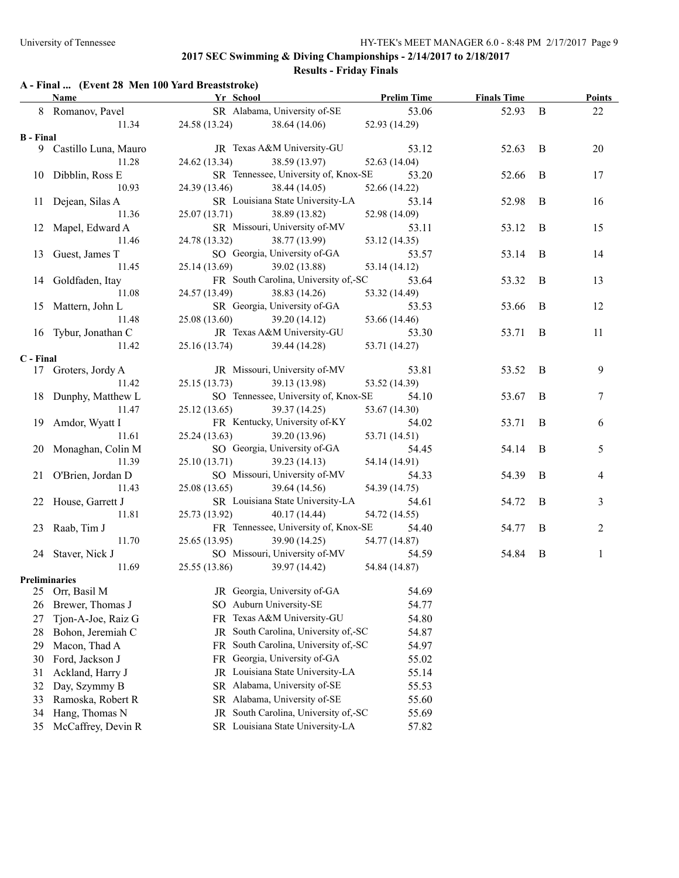## **Results - Friday Finals**

## **A - Final ... (Event 28 Men 100 Yard Breaststroke)**

|                  | <b>Name</b>            | Yr School     |                                            | <b>Prelim Time</b> | <b>Finals Time</b> |              | <b>Points</b>  |
|------------------|------------------------|---------------|--------------------------------------------|--------------------|--------------------|--------------|----------------|
|                  | 8 Romanov, Pavel       |               | SR Alabama, University of-SE               | 53.06              | 52.93              | B            | 22             |
|                  | 11.34                  |               | 24.58 (13.24) 38.64 (14.06)                | 52.93 (14.29)      |                    |              |                |
| <b>B</b> - Final |                        |               |                                            |                    |                    |              |                |
|                  | 9 Castillo Luna, Mauro |               | JR Texas A&M University-GU                 | 53.12              | 52.63              | B            | 20             |
|                  | 11.28                  | 24.62 (13.34) | 38.59 (13.97)                              | 52.63(14.04)       |                    |              |                |
|                  | 10 Dibblin, Ross E     |               | SR Tennessee, University of, Knox-SE       | 53.20              | 52.66              | B            | 17             |
|                  | 10.93                  |               | 24.39 (13.46) 38.44 (14.05)                | 52.66 (14.22)      |                    |              |                |
|                  | 11 Dejean, Silas A     |               | SR Louisiana State University-LA           | 53.14              | 52.98              | B            | 16             |
|                  | 11.36                  |               | 25.07 (13.71) 38.89 (13.82)                | 52.98 (14.09)      |                    |              |                |
|                  | 12 Mapel, Edward A     |               | SR Missouri, University of-MV              | 53.11              | 53.12              | B            | 15             |
|                  | 11.46                  |               | 24.78 (13.32) 38.77 (13.99)                | 53.12 (14.35)      |                    |              |                |
|                  | 13 Guest, James T      |               | SO Georgia, University of-GA               | 53.57              | 53.14              | B            | 14             |
|                  | 11.45                  |               | 25.14 (13.69) 39.02 (13.88)                | 53.14 (14.12)      |                    |              |                |
|                  | 14 Goldfaden, Itay     |               | FR South Carolina, University of,-SC 53.64 |                    | 53.32              | B            | 13             |
|                  | 11.08                  |               | 24.57 (13.49) 38.83 (14.26)                | 53.32 (14.49)      |                    |              |                |
|                  | 15 Mattern, John L     |               | SR Georgia, University of-GA               | 53.53              | 53.66              | B            | 12             |
|                  | 11.48                  |               | 25.08 (13.60) 39.20 (14.12)                | 53.66 (14.46)      |                    |              |                |
|                  | 16 Tybur, Jonathan C   |               | JR Texas A&M University-GU 53.30           |                    | 53.71              | $\mathbf{B}$ | 11             |
|                  | 11.42                  |               | 25.16 (13.74) 39.44 (14.28)                | 53.71 (14.27)      |                    |              |                |
| C - Final        |                        |               |                                            |                    |                    |              |                |
|                  | 17 Groters, Jordy A    |               | JR Missouri, University of-MV              | 53.81              | 53.52              | B            | 9              |
|                  | 11.42                  | 25.15(13.73)  | 39.13 (13.98)                              | 53.52 (14.39)      |                    |              |                |
|                  | 18 Dunphy, Matthew L   |               | SO Tennessee, University of, Knox-SE       | 54.10              | 53.67              | B            | 7              |
|                  | 11.47                  |               | 25.12 (13.65) 39.37 (14.25)                | 53.67 (14.30)      |                    |              |                |
|                  | 19 Amdor, Wyatt I      |               | FR Kentucky, University of-KY              | 54.02              | 53.71              | B            | 6              |
|                  | 11.61                  |               | 25.24 (13.63) 39.20 (13.96)                | 53.71 (14.51)      |                    |              |                |
|                  | 20 Monaghan, Colin M   |               | SO Georgia, University of-GA               | 54.45              | 54.14              | B            | 5              |
|                  | 11.39                  |               | 25.10 (13.71) 39.23 (14.13)                | 54.14 (14.91)      |                    |              |                |
|                  | 21 O'Brien, Jordan D   |               | SO Missouri, University of-MV              | 54.33              | 54.39              | B            | 4              |
|                  | 11.43                  |               | 25.08 (13.65) 39.64 (14.56)                | 54.39 (14.75)      |                    |              |                |
|                  | 22 House, Garrett J    |               | SR Louisiana State University-LA           | 54.61              | 54.72              | B            | 3              |
|                  | 11.81                  | 25.73 (13.92) | 40.17 (14.44)                              | 54.72 (14.55)      |                    |              |                |
|                  | 23 Raab, Tim J         |               | FR Tennessee, University of, Knox-SE       | 54.40              | 54.77              | B            | $\overline{c}$ |
|                  | 11.70                  | 25.65(13.95)  | 39.90 (14.25)                              | 54.77 (14.87)      |                    |              |                |
|                  | 24 Staver, Nick J      |               | SO Missouri, University of-MV              | 54.59              | 54.84              | B            | 1              |
|                  | 11.69                  |               | 25.55 (13.86) 39.97 (14.42) 54.84 (14.87)  |                    |                    |              |                |
|                  | Preliminaries          |               |                                            |                    |                    |              |                |
| 25               | Orr, Basil M           |               | JR Georgia, University of-GA               | 54.69              |                    |              |                |
| 26               | Brewer, Thomas J       |               | SO Auburn University-SE                    | 54.77              |                    |              |                |
| 27               | Tjon-A-Joe, Raiz G     |               | FR Texas A&M University-GU                 | 54.80              |                    |              |                |
| 28               | Bohon, Jeremiah C      | JR            | South Carolina, University of,-SC          | 54.87              |                    |              |                |
| 29               | Macon, Thad A          | FR.           | South Carolina, University of,-SC          | 54.97              |                    |              |                |
| 30               | Ford, Jackson J        |               | FR Georgia, University of-GA               | 55.02              |                    |              |                |
| 31               | Ackland, Harry J       |               | JR Louisiana State University-LA           | 55.14              |                    |              |                |
| 32               | Day, Szymmy B          |               | SR Alabama, University of-SE               | 55.53              |                    |              |                |
| 33               | Ramoska, Robert R      |               | SR Alabama, University of-SE               | 55.60              |                    |              |                |
| 34               | Hang, Thomas N         | JR            | South Carolina, University of,-SC          | 55.69              |                    |              |                |
| 35               | McCaffrey, Devin R     |               | SR Louisiana State University-LA           | 57.82              |                    |              |                |
|                  |                        |               |                                            |                    |                    |              |                |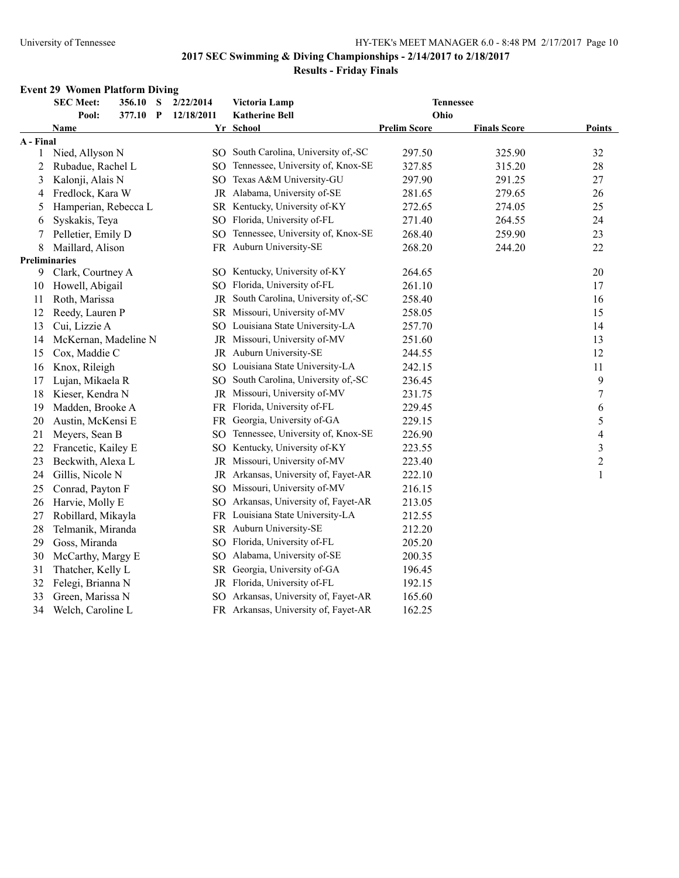#### **Event 29 Women Platform Diving**

| 377.10 P<br>12/18/2011<br><b>Katherine Bell</b><br>Ohio<br>Pool:<br><b>Prelim Score</b><br><b>Finals Score</b><br><b>Name</b><br>Yr School<br>A - Final<br>SO South Carolina, University of,-SC<br>Nied, Allyson N<br>297.50<br>325.90<br>1 | <b>Points</b><br>32<br>28<br>27 |
|---------------------------------------------------------------------------------------------------------------------------------------------------------------------------------------------------------------------------------------------|---------------------------------|
|                                                                                                                                                                                                                                             |                                 |
|                                                                                                                                                                                                                                             |                                 |
|                                                                                                                                                                                                                                             |                                 |
|                                                                                                                                                                                                                                             |                                 |
| SO Tennessee, University of, Knox-SE<br>327.85<br>315.20<br>2<br>Rubadue, Rachel L                                                                                                                                                          |                                 |
| Texas A&M University-GU<br>Kalonji, Alais N<br>297.90<br>291.25<br>3<br>SO.                                                                                                                                                                 |                                 |
| JR Alabama, University of-SE<br>Fredlock, Kara W<br>281.65<br>279.65<br>4                                                                                                                                                                   | 26                              |
| SR Kentucky, University of-KY<br>Hamperian, Rebecca L<br>272.65<br>274.05<br>5                                                                                                                                                              | 25                              |
| SO Florida, University of-FL<br>Syskakis, Teya<br>271.40<br>264.55<br>6                                                                                                                                                                     | 24                              |
| Tennessee, University of, Knox-SE<br>Pelletier, Emily D<br>268.40<br>259.90<br>7<br>SO.                                                                                                                                                     | 23                              |
| FR Auburn University-SE<br>268.20<br>8<br>Maillard, Alison<br>244.20                                                                                                                                                                        | 22                              |
| Preliminaries                                                                                                                                                                                                                               |                                 |
| SO Kentucky, University of-KY<br>Clark, Courtney A<br>9<br>264.65                                                                                                                                                                           | 20                              |
| SO Florida, University of-FL<br>Howell, Abigail<br>261.10<br>10                                                                                                                                                                             | 17                              |
| South Carolina, University of,-SC<br>Roth, Marissa<br>258.40<br>11<br>JR                                                                                                                                                                    | 16                              |
| Reedy, Lauren P<br>Missouri, University of-MV<br>258.05<br>12<br>SR                                                                                                                                                                         | 15                              |
| SO Louisiana State University-LA<br>Cui, Lizzie A<br>257.70<br>13                                                                                                                                                                           | 14                              |
| McKernan, Madeline N<br>JR Missouri, University of-MV<br>251.60<br>14                                                                                                                                                                       | 13                              |
| JR Auburn University-SE<br>Cox, Maddie C<br>244.55<br>15                                                                                                                                                                                    | 12                              |
| SO Louisiana State University-LA<br>Knox, Rileigh<br>242.15<br>16                                                                                                                                                                           | 11                              |
| South Carolina, University of,-SC<br>236.45<br>17<br>Lujan, Mikaela R<br>SO.                                                                                                                                                                | 9                               |
| 18<br>Missouri, University of-MV<br>231.75<br>Kieser, Kendra N<br>JR                                                                                                                                                                        | 7                               |
| FR Florida, University of-FL<br>19<br>Madden, Brooke A<br>229.45                                                                                                                                                                            | 6                               |
| 20<br>Austin, McKensi E<br>FR Georgia, University of-GA<br>229.15                                                                                                                                                                           | 5                               |
| SO Tennessee, University of, Knox-SE<br>226.90<br>21<br>Meyers, Sean B                                                                                                                                                                      | 4                               |
| SO Kentucky, University of-KY<br>Francetic, Kailey E<br>223.55<br>22                                                                                                                                                                        | 3                               |
| JR Missouri, University of-MV<br>Beckwith, Alexa L<br>223.40<br>23                                                                                                                                                                          | $\overline{2}$                  |
| JR Arkansas, University of, Fayet-AR<br>Gillis, Nicole N<br>222.10<br>24                                                                                                                                                                    | 1                               |
| SO Missouri, University of-MV<br>Conrad, Payton F<br>216.15<br>25                                                                                                                                                                           |                                 |
| SO Arkansas, University of, Fayet-AR<br>Harvie, Molly E<br>26<br>213.05                                                                                                                                                                     |                                 |
| FR Louisiana State University-LA<br>27<br>Robillard, Mikayla<br>212.55                                                                                                                                                                      |                                 |
| SR Auburn University-SE<br>28<br>Telmanik, Miranda<br>212.20                                                                                                                                                                                |                                 |
| SO Florida, University of-FL<br>29<br>Goss, Miranda<br>205.20                                                                                                                                                                               |                                 |
| SO Alabama, University of-SE<br>30<br>McCarthy, Margy E<br>200.35                                                                                                                                                                           |                                 |
| SR Georgia, University of-GA<br>31<br>Thatcher, Kelly L<br>196.45                                                                                                                                                                           |                                 |
| JR Florida, University of-FL<br>32<br>Felegi, Brianna N<br>192.15                                                                                                                                                                           |                                 |
| SO Arkansas, University of, Fayet-AR<br>33<br>Green, Marissa N<br>165.60                                                                                                                                                                    |                                 |
| 34<br>FR Arkansas, University of, Fayet-AR<br>162.25<br>Welch, Caroline L                                                                                                                                                                   |                                 |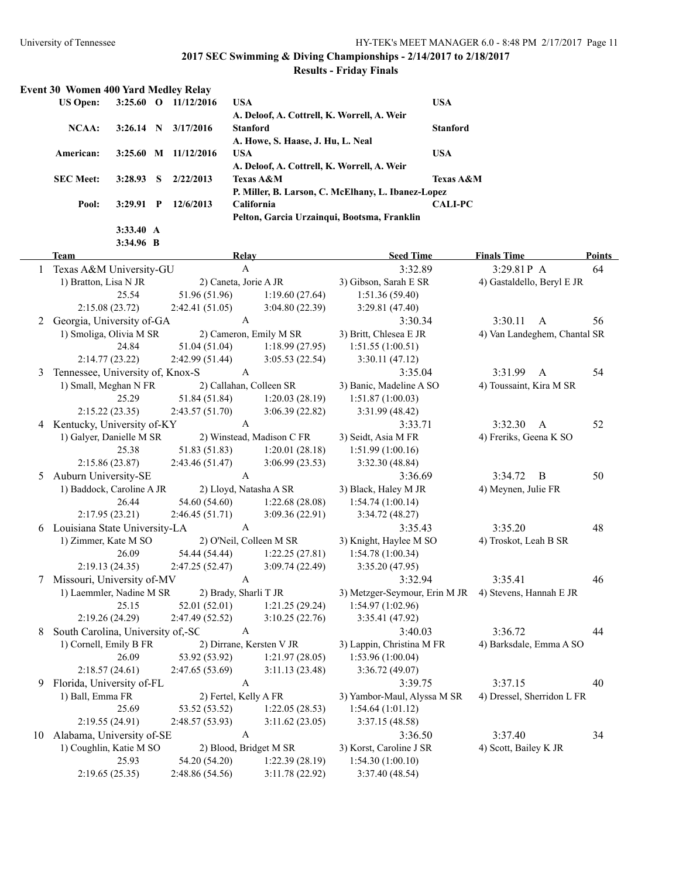**3:34.96 B**

#### **2017 SEC Swimming & Diving Championships - 2/14/2017 to 2/18/2017**

| <b>Event 30 Women 400 Yard Medley Relay</b> |             |             |            |                                                    |                      |  |  |
|---------------------------------------------|-------------|-------------|------------|----------------------------------------------------|----------------------|--|--|
| <b>US Open:</b>                             | $3:25.60$ O |             | 11/12/2016 | <b>USA</b>                                         | <b>USA</b>           |  |  |
|                                             |             |             |            | A. Deloof, A. Cottrell, K. Worrell, A. Weir        |                      |  |  |
| NCAA:                                       | 3:26.14     | - N         | 3/17/2016  | <b>Stanford</b>                                    | <b>Stanford</b>      |  |  |
|                                             |             |             |            | A. Howe, S. Haase, J. Hu, L. Neal                  |                      |  |  |
| American:                                   | $3:25.60$ M |             | 11/12/2016 | <b>USA</b>                                         | <b>USA</b>           |  |  |
|                                             |             |             |            | A. Deloof, A. Cottrell, K. Worrell, A. Weir        |                      |  |  |
| <b>SEC</b> Meet:                            | 3:28.93     | - S         | 2/22/2013  | <b>Texas A&amp;M</b>                               | <b>Texas A&amp;M</b> |  |  |
|                                             |             |             |            | P. Miller, B. Larson, C. McElhany, L. Ibanez-Lopez |                      |  |  |
| Pool:                                       | 3:29.91     | $\mathbf P$ | 12/6/2013  | <b>California</b>                                  | <b>CALI-PC</b>       |  |  |
|                                             |             |             |            | Pelton, Garcia Urzaingui, Bootsma, Franklin        |                      |  |  |
|                                             | 3:33.40 A   |             |            |                                                    |                      |  |  |

|   | <b>Team</b>                                                 | Relay                          |                                            | <b>Seed Time</b>                                      | <b>Finals Time</b>           | Points |
|---|-------------------------------------------------------------|--------------------------------|--------------------------------------------|-------------------------------------------------------|------------------------------|--------|
|   | Texas A&M University-GU                                     | $\boldsymbol{\mathsf{A}}$      |                                            | 3:32.89                                               | 3:29.81 P A                  | 64     |
|   | 1) Bratton, Lisa N JR                                       | 2) Caneta, Jorie A JR          |                                            | 3) Gibson, Sarah E SR                                 | 4) Gastaldello, Beryl E JR   |        |
|   | 25.54                                                       | 51.96 (51.96)                  | 1:19.60(27.64)                             | 1:51.36(59.40)                                        |                              |        |
|   | 2:15.08(23.72)                                              | 2:42.41(51.05)                 | 3:04.80(22.39)                             | 3:29.81(47.40)                                        |                              |        |
|   | 2 Georgia, University of-GA                                 | $\mathbf{A}$                   |                                            | 3:30.34                                               | 3:30.11<br>$\mathbf{A}$      | 56     |
|   | 1) Smoliga, Olivia M SR                                     |                                | 2) Cameron, Emily M SR                     | 3) Britt, Chlesea E JR                                | 4) Van Landeghem, Chantal SR |        |
|   | 24.84                                                       | 51.04 (51.04)                  | 1:18.99(27.95)                             | 1:51.55(1:00.51)                                      |                              |        |
|   | 2:14.77(23.22)                                              | 2:42.99(51.44)                 | 3:05.53(22.54)                             | 3:30.11(47.12)                                        |                              |        |
| 3 | Tennessee, University of, Knox-S                            | A                              |                                            | 3:35.04                                               | 3:31.99<br>$\mathbf{A}$      | 54     |
|   | 1) Small, Meghan N FR                                       | 2) Callahan, Colleen SR        |                                            | 3) Banic, Madeline A SO                               | 4) Toussaint, Kira M SR      |        |
|   | 25.29                                                       | 51.84 (51.84)                  | 1:20.03(28.19)                             | 1:51.87(1:00.03)                                      |                              |        |
|   | 2:15.22(23.35)                                              | 2:43.57(51.70)                 | 3:06.39(22.82)                             | 3:31.99 (48.42)                                       |                              |        |
|   | 4 Kentucky, University of-KY                                | A                              |                                            | 3:33.71                                               | 3:32.30<br>$\mathbf{A}$      | 52     |
|   | 1) Galyer, Danielle M SR                                    |                                | 2) Winstead, Madison C FR                  | 3) Seidt, Asia M FR                                   | 4) Freriks, Geena K SO       |        |
|   | 25.38                                                       | 51.83 (51.83)                  | 1:20.01(28.18)                             | 1:51.99(1:00.16)                                      |                              |        |
|   | 2:15.86 (23.87)                                             | 2:43.46(51.47)                 | 3:06.99(23.53)                             | 3:32.30 (48.84)                                       |                              |        |
|   | 5 Auburn University-SE                                      | $\boldsymbol{\rm{A}}$          |                                            | 3:36.69                                               | 3:34.72<br>$\overline{B}$    | 50     |
|   | 1) Baddock, Caroline A JR                                   | 2) Lloyd, Natasha A SR         |                                            | 3) Black, Haley M JR                                  | 4) Meynen, Julie FR          |        |
|   | 26.44                                                       | 54.60 (54.60)                  | 1:22.68(28.08)                             | 1:54.74(1:00.14)                                      |                              |        |
|   | 2:17.95(23.21)                                              | 2:46.45(51.71)                 | 3:09.36 (22.91)                            | 3:34.72 (48.27)                                       |                              |        |
|   | 6 Louisiana State University-LA                             | A                              |                                            | 3:35.43                                               | 3:35.20                      | 48     |
|   | 1) Zimmer, Kate M SO                                        |                                | 2) O'Neil, Colleen M SR                    | 3) Knight, Haylee M SO                                | 4) Troskot, Leah B SR        |        |
|   | 26.09                                                       | 54.44 (54.44)                  | 1:22.25(27.81)                             | 1:54.78(1:00.34)                                      |                              |        |
|   | 2:19.13(24.35)                                              | 2:47.25(52.47)                 | 3:09.74 (22.49)                            | 3:35.20 (47.95)                                       |                              |        |
| 7 | Missouri, University of-MV                                  | $\mathbf{A}$                   |                                            | 3:32.94                                               | 3:35.41                      | 46     |
|   | 1) Laemmler, Nadine M SR                                    | 2) Brady, Sharli T JR          |                                            | 3) Metzger-Seymour, Erin M JR 4) Stevens, Hannah E JR |                              |        |
|   | 25.15                                                       | 52.01 (52.01)                  | 1:21.25(29.24)                             | 1:54.97 (1:02.96)                                     |                              |        |
|   | 2:19.26(24.29)                                              | 2:47.49(52.52)                 | 3:10.25(22.76)                             | 3:35.41 (47.92)                                       |                              |        |
| 8 | South Carolina, University of,-SC<br>1) Cornell, Emily B FR | $\mathbf{A}$                   |                                            | 3:40.03                                               | 3:36.72                      | 44     |
|   | 26.09                                                       | 53.92 (53.92)                  | 2) Dirrane, Kersten V JR<br>1:21.97(28.05) | 3) Lappin, Christina M FR<br>1:53.96(1:00.04)         | 4) Barksdale, Emma A SO      |        |
|   | 2:18.57(24.61)                                              |                                | 3:11.13(23.48)                             | 3:36.72(49.07)                                        |                              |        |
|   | 9 Florida, University of-FL                                 | 2:47.65(53.69)<br>$\mathbf{A}$ |                                            | 3:39.75                                               | 3:37.15                      | 40     |
|   | 1) Ball, Emma FR                                            | 2) Fertel, Kelly A FR          |                                            | 3) Yambor-Maul, Alyssa M SR                           | 4) Dressel, Sherridon L FR   |        |
|   | 25.69                                                       | 53.52 (53.52)                  | 1:22.05(28.53)                             | 1:54.64(1:01.12)                                      |                              |        |
|   | 2:19.55(24.91)                                              | 2:48.57(53.93)                 | 3:11.62(23.05)                             | 3:37.15(48.58)                                        |                              |        |
|   | 10 Alabama, University of-SE                                | $\mathbf{A}$                   |                                            | 3:36.50                                               | 3:37.40                      | 34     |
|   | 1) Coughlin, Katie M SO                                     | 2) Blood, Bridget M SR         |                                            | 3) Korst, Caroline J SR                               | 4) Scott, Bailey K JR        |        |
|   | 25.93                                                       | 54.20 (54.20)                  | 1:22.39(28.19)                             | 1:54.30(1:00.10)                                      |                              |        |
|   | 2:19.65(25.35)                                              | 2:48.86 (54.56)                | 3:11.78(22.92)                             | 3:37.40(48.54)                                        |                              |        |
|   |                                                             |                                |                                            |                                                       |                              |        |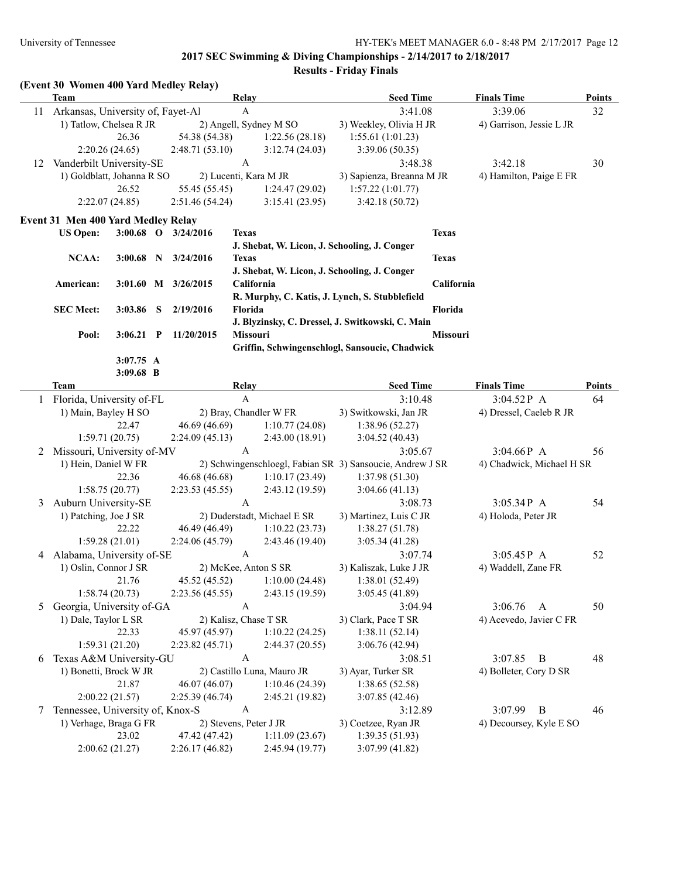|    | (Event 30 Women 400 Yard Medley Relay)<br><b>Team</b>        |                          |                                                 |                            | <b>Relay</b>                                              | <b>Seed Time</b>                                 |                        | <b>Finals Time</b>        | Points |
|----|--------------------------------------------------------------|--------------------------|-------------------------------------------------|----------------------------|-----------------------------------------------------------|--------------------------------------------------|------------------------|---------------------------|--------|
| 11 |                                                              |                          |                                                 |                            | A                                                         | 3:41.08                                          |                        | 3:39.06                   |        |
|    | Arkansas, University of, Fayet-Al<br>1) Tatlow, Chelsea R JR |                          |                                                 |                            | 2) Angell, Sydney M SO                                    | 3) Weekley, Olivia H JR                          |                        | 4) Garrison, Jessie L JR  | 32     |
|    |                                                              | 26.36                    |                                                 | 54.38 (54.38)              | 1:22.56(28.18)                                            | 1:55.61(1:01.23)                                 |                        |                           |        |
|    |                                                              | 2:20.26(24.65)           |                                                 | 2:48.71(53.10)             | 3:12.74(24.03)                                            | 3:39.06 (50.35)                                  |                        |                           |        |
|    | Vanderbilt University-SE                                     |                          |                                                 |                            | A                                                         | 3:48.38                                          |                        | 3:42.18                   | 30     |
| 12 | 1) Goldblatt, Johanna R SO                                   |                          |                                                 |                            | 2) Lucenti, Kara M JR                                     | 3) Sapienza, Breanna M JR                        |                        |                           |        |
|    |                                                              | 26.52                    |                                                 | 55.45 (55.45)              | 1:24.47(29.02)                                            | 1:57.22(1:01.77)                                 |                        | 4) Hamilton, Paige E FR   |        |
|    |                                                              | 2:22.07(24.85)           |                                                 | 2:51.46(54.24)             | 3:15.41(23.95)                                            | 3:42.18(50.72)                                   |                        |                           |        |
|    |                                                              |                          |                                                 |                            |                                                           |                                                  |                        |                           |        |
|    | Event 31 Men 400 Yard Medley Relay                           |                          |                                                 |                            |                                                           |                                                  |                        |                           |        |
|    | <b>US Open:</b>                                              |                          |                                                 | 3:00.68 O 3/24/2016        | <b>Texas</b>                                              |                                                  | <b>Texas</b>           |                           |        |
|    |                                                              |                          |                                                 |                            | J. Shebat, W. Licon, J. Schooling, J. Conger              |                                                  |                        |                           |        |
|    | <b>NCAA:</b>                                                 | $3:00.68$ N              |                                                 | 3/24/2016                  | <b>Texas</b>                                              |                                                  | <b>Texas</b>           |                           |        |
|    |                                                              |                          |                                                 |                            | J. Shebat, W. Licon, J. Schooling, J. Conger              |                                                  |                        |                           |        |
|    | American:                                                    |                          |                                                 | 3:01.60 M 3/26/2015        | California                                                |                                                  | California             |                           |        |
|    |                                                              |                          |                                                 |                            |                                                           | R. Murphy, C. Katis, J. Lynch, S. Stubblefield   |                        |                           |        |
|    | <b>SEC Meet:</b>                                             | 3:03.86                  | S                                               | 2/19/2016                  | Florida                                                   |                                                  | Florida                |                           |        |
|    |                                                              |                          |                                                 |                            | Missouri                                                  | J. Blyzinsky, C. Dressel, J. Switkowski, C. Main | Missouri               |                           |        |
|    | Pool:                                                        | 3:06.21                  | $\mathbf{P}$                                    | 11/20/2015                 |                                                           |                                                  |                        |                           |        |
|    |                                                              |                          |                                                 |                            |                                                           | Griffin, Schwingenschlogl, Sansoucie, Chadwick   |                        |                           |        |
|    |                                                              | 3:07.75 A<br>$3:09.68$ B |                                                 |                            |                                                           |                                                  |                        |                           |        |
|    | Team                                                         |                          |                                                 |                            | <b>Relay</b>                                              | <b>Seed Time</b>                                 |                        | <b>Finals Time</b>        | Points |
|    |                                                              |                          |                                                 |                            | $\mathbf{A}$                                              | 3:10.48                                          |                        | 3:04.52P A                | 64     |
|    | 1 Florida, University of-FL<br>1) Main, Bayley H SO          |                          | 3) Switkowski, Jan JR<br>2) Bray, Chandler W FR |                            |                                                           | 4) Dressel, Caeleb R JR                          |                        |                           |        |
|    |                                                              | 22.47                    |                                                 | 46.69 (46.69)              | 1:10.77(24.08)                                            | 1:38.96(52.27)                                   |                        |                           |        |
|    |                                                              | 1:59.71(20.75)           |                                                 | 2:24.09(45.13)             | 2:43.00(18.91)                                            | 3:04.52(40.43)                                   |                        |                           |        |
| 2  | Missouri, University of-MV                                   |                          |                                                 |                            | A                                                         | 3:05.67                                          |                        | $3:04.66P$ A              | 56     |
|    | 1) Hein, Daniel W FR                                         |                          |                                                 |                            | 2) Schwingenschloegl, Fabian SR 3) Sansoucie, Andrew J SR |                                                  |                        | 4) Chadwick, Michael H SR |        |
|    |                                                              | 22.36                    |                                                 | 46.68 (46.68)              | 1:10.17(23.49)                                            | 1:37.98(51.30)                                   |                        |                           |        |
|    |                                                              | 1:58.75(20.77)           |                                                 | 2:23.53(45.55)             | 2:43.12(19.59)                                            | 3:04.66(41.13)                                   |                        |                           |        |
| 3  | Auburn University-SE                                         |                          |                                                 |                            | $\boldsymbol{A}$                                          | 3:08.73                                          |                        | 3:05.34P A                | 54     |
|    | 1) Patching, Joe J SR                                        |                          |                                                 |                            | 2) Duderstadt, Michael E SR                               | 3) Martinez, Luis C JR                           |                        | 4) Holoda, Peter JR       |        |
|    |                                                              | 22.22                    |                                                 | 46.49 (46.49)              | 1:10.22(23.73)                                            | 1:38.27(51.78)                                   |                        |                           |        |
|    |                                                              | 1:59.28(21.01)           |                                                 | 2:24.06(45.79)             | 2:43.46(19.40)                                            | 3:05.34(41.28)                                   |                        |                           |        |
| 4  | Alabama, University of-SE                                    |                          |                                                 |                            | A                                                         | 3:07.74                                          |                        | $3:05.45P$ A              | 52     |
|    | 1) Oslin, Connor J SR                                        |                          |                                                 |                            | 2) McKee, Anton S SR                                      | 3) Kaliszak, Luke J JR                           |                        | 4) Waddell, Zane FR       |        |
|    |                                                              | 21.76                    |                                                 | 45.52 (45.52)              | 1:10.00(24.48)                                            | 1:38.01(52.49)                                   |                        |                           |        |
|    |                                                              | 1:58.74(20.73)           |                                                 | 2:23.56 (45.55)            | 2:43.15 (19.59)                                           | 3:05.45(41.89)                                   |                        |                           |        |
| 5  | Georgia, University of-GA                                    |                          |                                                 |                            | A                                                         | 3:04.94                                          |                        | 3:06.76<br>$\mathbf{A}$   | 50     |
|    | 1) Dale, Taylor L SR                                         |                          |                                                 |                            | 2) Kalisz, Chase T SR                                     | 3) Clark, Pace T SR                              |                        | 4) Acevedo, Javier C FR   |        |
|    |                                                              | 22.33                    |                                                 | 45.97 (45.97)              | 1:10.22(24.25)                                            | 1:38.11(52.14)                                   |                        |                           |        |
|    |                                                              | 1:59.31(21.20)           |                                                 | 2:23.82 (45.71)            | 2:44.37 (20.55)                                           | 3:06.76 (42.94)                                  |                        |                           |        |
| 6  | Texas A&M University-GU                                      |                          |                                                 | A                          |                                                           | 3:08.51                                          | 3:07.85<br>B           | 48                        |        |
|    | 1) Bonetti, Brock W JR                                       |                          |                                                 | 2) Castillo Luna, Mauro JR | 3) Ayar, Turker SR                                        |                                                  | 4) Bolleter, Cory D SR |                           |        |
|    |                                                              | 21.87                    |                                                 | 46.07 (46.07)              | 1:10.46(24.39)                                            | 1:38.65(52.58)                                   |                        |                           |        |
|    |                                                              | 2:00.22(21.57)           |                                                 | 2:25.39(46.74)             | 2:45.21 (19.82)                                           | 3:07.85(42.46)                                   |                        |                           |        |
| 7  | Tennessee, University of, Knox-S                             |                          |                                                 |                            | A                                                         | 3:12.89                                          |                        | 3:07.99<br>B              | 46     |
|    | 1) Verhage, Braga G FR                                       |                          |                                                 |                            | 2) Stevens, Peter J JR                                    | 3) Coetzee, Ryan JR                              |                        | 4) Decoursey, Kyle E SO   |        |
|    |                                                              | 23.02                    |                                                 | 47.42 (47.42)              | 1:11.09(23.67)                                            | 1:39.35(51.93)                                   |                        |                           |        |
|    |                                                              | 2:00.62(21.27)           |                                                 | 2:26.17(46.82)             | 2:45.94 (19.77)                                           | 3:07.99(41.82)                                   |                        |                           |        |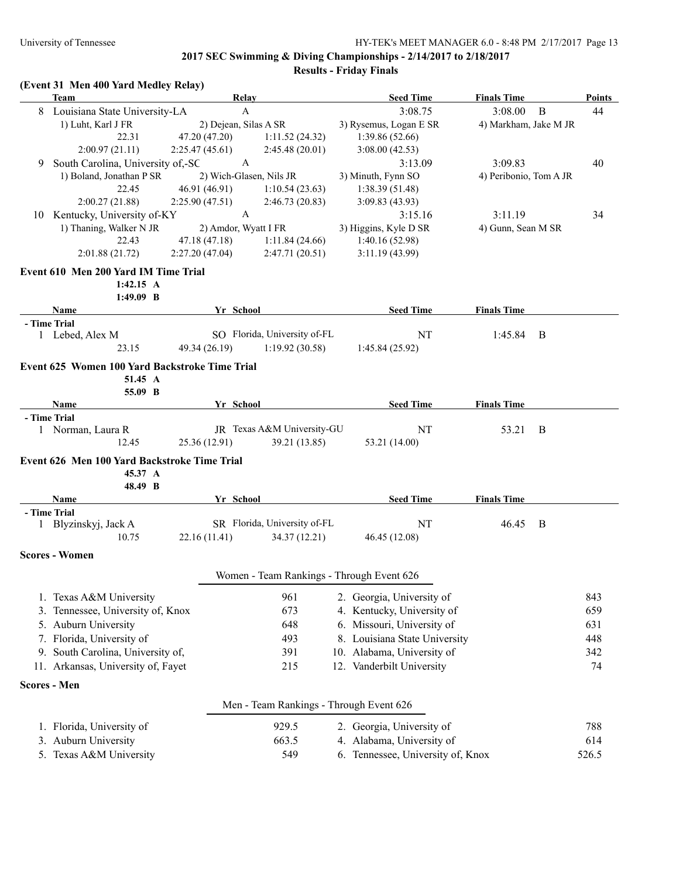**Results - Friday Finals**

## **(Event 31 Men 400 Yard Medley Relay)**

|    | <b>Team</b>                                    | Relay                   |                                           | <b>Seed Time</b>                  | <b>Finals Time</b>     |              | <b>Points</b> |
|----|------------------------------------------------|-------------------------|-------------------------------------------|-----------------------------------|------------------------|--------------|---------------|
|    | 8 Louisiana State University-LA                | $\mathbf{A}$            |                                           | 3:08.75                           | 3:08.00                | $\mathbf{B}$ | 44            |
|    | 1) Luht, Karl J FR                             | 2) Dejean, Silas A SR   |                                           | 3) Rysemus, Logan E SR            | 4) Markham, Jake M JR  |              |               |
|    | 22.31                                          | 47.20 (47.20)           | 1:11.52(24.32)                            | 1:39.86 (52.66)                   |                        |              |               |
|    | 2:00.97(21.11)                                 | 2:25.47(45.61)          | 2:45.48(20.01)                            | 3:08.00(42.53)                    |                        |              |               |
| 9  | South Carolina, University of,-SC              | $\mathbf{A}$            |                                           | 3:13.09                           | 3:09.83                |              | 40            |
|    | 1) Boland, Jonathan P SR                       | 2) Wich-Glasen, Nils JR |                                           | 3) Minuth, Fynn SO                | 4) Peribonio, Tom A JR |              |               |
|    | 22.45                                          | 46.91 (46.91)           | 1:10.54(23.63)                            | 1:38.39(51.48)                    |                        |              |               |
|    | 2:00.27(21.88)                                 | 2:25.90(47.51)          | 2:46.73(20.83)                            | 3:09.83(43.93)                    |                        |              |               |
| 10 | Kentucky, University of-KY                     | $\boldsymbol{\rm{A}}$   |                                           | 3:15.16                           | 3:11.19                |              | 34            |
|    | 1) Thaning, Walker N JR                        | 2) Amdor, Wyatt I FR    |                                           | 3) Higgins, Kyle D SR             | 4) Gunn, Sean M SR     |              |               |
|    | 22.43                                          | 47.18 (47.18)           | 1:11.84(24.66)                            | 1:40.16(52.98)                    |                        |              |               |
|    | 2:01.88(21.72)                                 | 2:27.20(47.04)          | 2:47.71(20.51)                            | 3:11.19(43.99)                    |                        |              |               |
|    | Event 610 Men 200 Yard IM Time Trial           |                         |                                           |                                   |                        |              |               |
|    | $1:42.15 \text{ A}$                            |                         |                                           |                                   |                        |              |               |
|    | 1:49.09 B                                      |                         |                                           |                                   |                        |              |               |
|    | Name                                           | Yr School               |                                           | <b>Seed Time</b>                  | <b>Finals Time</b>     |              |               |
|    | - Time Trial                                   |                         |                                           |                                   |                        |              |               |
|    | 1 Lebed, Alex M                                |                         | SO Florida, University of-FL              | NT                                | 1:45.84                | B            |               |
|    | 23.15                                          | 49.34 (26.19)           | 1:19.92(30.58)                            | 1:45.84(25.92)                    |                        |              |               |
|    | Event 625 Women 100 Yard Backstroke Time Trial |                         |                                           |                                   |                        |              |               |
|    | 51.45 A                                        |                         |                                           |                                   |                        |              |               |
|    | 55.09 B                                        |                         |                                           |                                   |                        |              |               |
|    | Name                                           | Yr School               |                                           | <b>Seed Time</b>                  | <b>Finals Time</b>     |              |               |
|    | - Time Trial                                   |                         |                                           |                                   |                        |              |               |
|    | 1 Norman, Laura R                              |                         | JR Texas A&M University-GU                | NT                                | 53.21                  | B            |               |
|    | 12.45                                          | 25.36 (12.91)           | 39.21 (13.85)                             | 53.21 (14.00)                     |                        |              |               |
|    | Event 626 Men 100 Yard Backstroke Time Trial   |                         |                                           |                                   |                        |              |               |
|    | 45.37 A                                        |                         |                                           |                                   |                        |              |               |
|    | 48.49 B                                        |                         |                                           |                                   |                        |              |               |
|    | Name                                           | Yr School               |                                           | <b>Seed Time</b>                  | <b>Finals Time</b>     |              |               |
|    | - Time Trial                                   |                         |                                           |                                   |                        |              |               |
|    | 1 Blyzinskyj, Jack A                           |                         | SR Florida, University of-FL              | NT                                | 46.45                  | <sup>B</sup> |               |
|    | 10.75                                          | 22.16 (11.41)           | 34.37 (12.21)                             | 46.45 (12.08)                     |                        |              |               |
|    | <b>Scores - Women</b>                          |                         |                                           |                                   |                        |              |               |
|    |                                                |                         | Women - Team Rankings - Through Event 626 |                                   |                        |              |               |
|    |                                                |                         |                                           |                                   |                        |              |               |
|    | 1. Texas A&M University                        |                         | 961                                       | 2. Georgia, University of         |                        |              | 843           |
|    | 3. Tennessee, University of, Knox              |                         | 673                                       | 4. Kentucky, University of        |                        |              | 659           |
|    | 5. Auburn University                           |                         | 648                                       | 6. Missouri, University of        |                        |              | 631           |
|    | 7. Florida, University of                      |                         | 493                                       | 8. Louisiana State University     |                        |              | 448           |
|    | 9. South Carolina, University of,              |                         | 391                                       | 10. Alabama, University of        |                        |              | 342           |
|    | 11. Arkansas, University of, Fayet<br>215      |                         |                                           | 12. Vanderbilt University         |                        |              | 74            |
|    |                                                |                         |                                           |                                   |                        |              |               |
|    | <b>Scores - Men</b>                            |                         |                                           |                                   |                        |              |               |
|    |                                                |                         | Men - Team Rankings - Through Event 626   |                                   |                        |              |               |
|    | 1. Florida, University of                      |                         | 929.5                                     | 2. Georgia, University of         |                        |              | 788           |
|    | 3. Auburn University                           |                         | 663.5                                     | 4. Alabama, University of         |                        |              | 614           |
|    | 5. Texas A&M University                        |                         | 549                                       | 6. Tennessee, University of, Knox |                        |              | 526.5         |
|    |                                                |                         |                                           |                                   |                        |              |               |
|    |                                                |                         |                                           |                                   |                        |              |               |